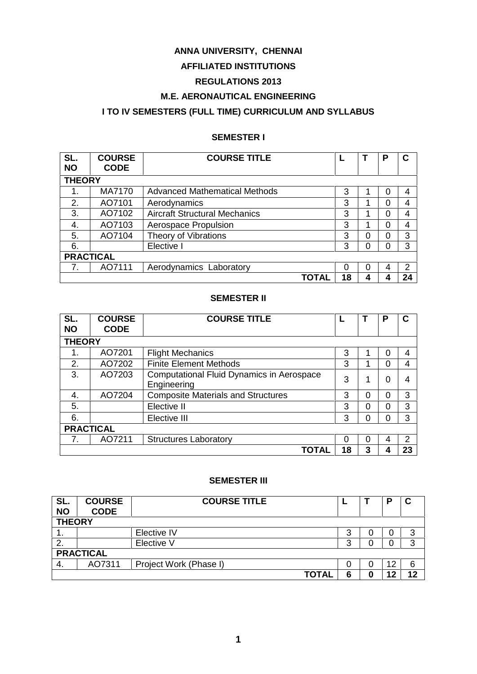#### **ANNA UNIVERSITY, CHENNAI**

## **AFFILIATED INSTITUTIONS**

# **REGULATIONS 2013**

## **M.E. AERONAUTICAL ENGINEERING**

# **I TO IV SEMESTERS (FULL TIME) CURRICULUM AND SYLLABUS**

## **SEMESTER I**

| SL.              | <b>COURSE</b> | <b>COURSE TITLE</b>                  |    |          | P        | С             |  |
|------------------|---------------|--------------------------------------|----|----------|----------|---------------|--|
| <b>NO</b>        | <b>CODE</b>   |                                      |    |          |          |               |  |
| <b>THEORY</b>    |               |                                      |    |          |          |               |  |
| 1.               | <b>MA7170</b> | <b>Advanced Mathematical Methods</b> | 3  |          | 0        | 4             |  |
| 2.               | AO7101        | Aerodynamics                         | 3  |          | 0        | 4             |  |
| 3.               | AO7102        | <b>Aircraft Structural Mechanics</b> | 3  |          | 0        | 4             |  |
| 4.               | AO7103        | Aerospace Propulsion                 | 3  |          | $\Omega$ | 4             |  |
| 5.               | AO7104        | Theory of Vibrations                 | 3  | 0        | $\Omega$ | 3             |  |
| 6.               |               | Elective I                           | 3  | 0        | $\Omega$ | 3             |  |
| <b>PRACTICAL</b> |               |                                      |    |          |          |               |  |
| 7.               | AO7111        | Aerodynamics Laboratory              | 0  | $\Omega$ | 4        | $\mathcal{P}$ |  |
|                  |               | TOTAL                                | 18 | 4        | 4        | 24            |  |

#### **SEMESTER II**

| SL.<br><b>NO</b> | <b>COURSE</b><br><b>CODE</b> | <b>COURSE TITLE</b>                                             |          |          | P        | C  |  |
|------------------|------------------------------|-----------------------------------------------------------------|----------|----------|----------|----|--|
| <b>THEORY</b>    |                              |                                                                 |          |          |          |    |  |
| 1.               | AO7201                       | <b>Flight Mechanics</b>                                         | 3        |          | 0        | 4  |  |
| 2.               | AO7202                       | <b>Finite Element Methods</b>                                   | 3        |          | 0        | 4  |  |
| 3.               | AO7203                       | <b>Computational Fluid Dynamics in Aerospace</b><br>Engineering | 3        | 4        | 0        | 4  |  |
| 4.               | AO7204                       | <b>Composite Materials and Structures</b>                       | 3        | 0        | $\Omega$ | 3  |  |
| 5.               |                              | Elective II                                                     | 3        | $\Omega$ | $\Omega$ | 3  |  |
| 6.               |                              | Elective III                                                    | 3        | 0        | 0        | 3  |  |
| <b>PRACTICAL</b> |                              |                                                                 |          |          |          |    |  |
|                  | AO7211                       | <b>Structures Laboratory</b>                                    | $\Omega$ | 0        | 4        | 2  |  |
|                  |                              | TOTAL                                                           | 18       | 3        | 4        | 23 |  |

### **SEMESTER III**

| SL.<br><b>NO</b> | <b>COURSE</b><br><b>CODE</b> | <b>COURSE TITLE</b>    |        |  | D  | C  |
|------------------|------------------------------|------------------------|--------|--|----|----|
| <b>THEORY</b>    |                              |                        |        |  |    |    |
| . .              |                              | Elective IV            | w      |  | 0  | 3  |
| 2.               |                              | Elective V             | o<br>w |  | 0  | 3  |
| <b>PRACTICAL</b> |                              |                        |        |  |    |    |
| 4.               | AO7311                       | Project Work (Phase I) |        |  | 12 | 6  |
|                  |                              | <b>TOTAL</b>           |        |  | 12 | 12 |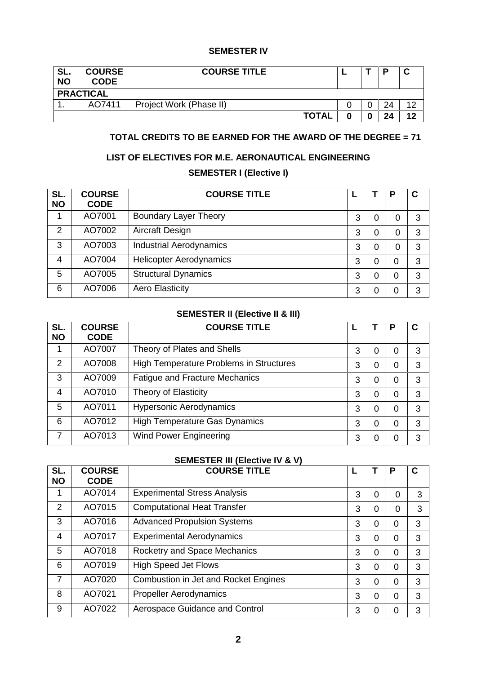#### **SEMESTER IV**

| SL.<br><b>NO</b> | <b>COURSE</b><br><b>CODE</b> | <b>COURSE TITLE</b>     |  |  | D  | ◠<br>v |  |
|------------------|------------------------------|-------------------------|--|--|----|--------|--|
|                  | <b>PRACTICAL</b>             |                         |  |  |    |        |  |
|                  | AO7411                       | Project Work (Phase II) |  |  | 24 | ィつ     |  |
|                  |                              | <b>TOTAL</b>            |  |  | 24 | 12     |  |

## **TOTAL CREDITS TO BE EARNED FOR THE AWARD OF THE DEGREE = 71**

## **LIST OF ELECTIVES FOR M.E. AERONAUTICAL ENGINEERING**

# **SEMESTER I (Elective I)**

| SL.<br><b>NO</b> | <b>COURSE</b><br><b>CODE</b> | <b>COURSE TITLE</b>            |   |   | P | $\mathbf c$ |
|------------------|------------------------------|--------------------------------|---|---|---|-------------|
|                  | AO7001                       | <b>Boundary Layer Theory</b>   | 3 | 0 |   | 3           |
| $\overline{2}$   | AO7002                       | Aircraft Design                | 3 | 0 |   | 3           |
| 3                | AO7003                       | <b>Industrial Aerodynamics</b> | 3 | 0 | 0 | 3           |
| 4                | AO7004                       | <b>Helicopter Aerodynamics</b> | 3 | 0 | 0 | 3           |
| 5                | AO7005                       | <b>Structural Dynamics</b>     | 3 | 0 | 0 | 3           |
| 6                | AO7006                       | <b>Aero Elasticity</b>         | 3 | 0 | 0 | 3           |

## **SEMESTER II (Elective II & III)**

| SL.<br><b>NO</b> | <b>COURSE</b><br><b>CODE</b> | <b>COURSE TITLE</b>                     |   |   | Р | $\mathbf c$ |
|------------------|------------------------------|-----------------------------------------|---|---|---|-------------|
|                  | AO7007                       | Theory of Plates and Shells             | 3 | 0 | 0 | 3           |
| 2                | AO7008                       | High Temperature Problems in Structures | 3 | 0 | 0 | 3           |
| 3                | AO7009                       | <b>Fatigue and Fracture Mechanics</b>   | 3 | 0 | 0 | 3           |
| 4                | AO7010                       | Theory of Elasticity                    | 3 | 0 | 0 | 3           |
| 5                | AO7011                       | <b>Hypersonic Aerodynamics</b>          | 3 | 0 | 0 | 3           |
| 6                | AO7012                       | <b>High Temperature Gas Dynamics</b>    | 3 | 0 | 0 | 3           |
| 7                | AO7013                       | <b>Wind Power Engineering</b>           | 3 |   | 0 | 3           |

## **SEMESTER III (Elective IV & V)**

| SL.       | <b>COURSE</b> | <b>COURSE TITLE</b>                  |   |   | P        | C |
|-----------|---------------|--------------------------------------|---|---|----------|---|
| <b>NO</b> | <b>CODE</b>   |                                      |   |   |          |   |
|           | AO7014        | <b>Experimental Stress Analysis</b>  | 3 | 0 | $\Omega$ | 3 |
| 2         | AO7015        | <b>Computational Heat Transfer</b>   | 3 | 0 | 0        | 3 |
| 3         | AO7016        | <b>Advanced Propulsion Systems</b>   | 3 | 0 | 0        | 3 |
| 4         | AO7017        | <b>Experimental Aerodynamics</b>     | 3 | 0 | 0        | 3 |
| 5         | AO7018        | Rocketry and Space Mechanics         | 3 | 0 | 0        | 3 |
| 6         | AO7019        | <b>High Speed Jet Flows</b>          | 3 | 0 | $\Omega$ | 3 |
| 7         | AO7020        | Combustion in Jet and Rocket Engines | 3 | 0 | 0        | 3 |
| 8         | AO7021        | <b>Propeller Aerodynamics</b>        | 3 | 0 | 0        | 3 |
| 9         | AO7022        | Aerospace Guidance and Control       | 3 |   | 0        | 3 |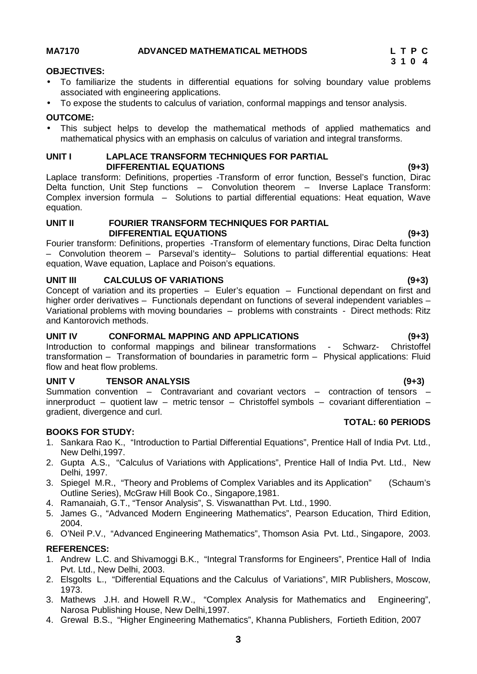### **MA7170 ADVANCED MATHEMATICAL METHODS L T P C**

#### **OBJECTIVES:**

- To familiarize the students in differential equations for solving boundary value problems associated with engineering applications.
- To expose the students to calculus of variation, conformal mappings and tensor analysis.

#### **OUTCOME:**

 This subject helps to develop the mathematical methods of applied mathematics and mathematical physics with an emphasis on calculus of variation and integral transforms.

#### **UNIT I LAPLACE TRANSFORM TECHNIQUES FOR PARTIAL DIFFERENTIAL EQUATIONS (9+3)**

Laplace transform: Definitions, properties -Transform of error function, Bessel's function, Dirac Delta function, Unit Step functions – Convolution theorem – Inverse Laplace Transform: Complex inversion formula – Solutions to partial differential equations: Heat equation, Wave equation.

#### **UNIT II FOURIER TRANSFORM TECHNIQUES FOR PARTIAL DIFFERENTIAL EQUATIONS (9+3)**

Fourier transform: Definitions, properties -Transform of elementary functions, Dirac Delta function – Convolution theorem – Parseval's identity– Solutions to partial differential equations: Heat equation, Wave equation, Laplace and Poison's equations.

#### **UNIT III CALCULUS OF VARIATIONS (9+3)**

Concept of variation and its properties – Euler's equation – Functional dependant on first and higher order derivatives – Functionals dependant on functions of several independent variables – Variational problems with moving boundaries – problems with constraints - Direct methods: Ritz and Kantorovich methods.

#### **UNIT IV CONFORMAL MAPPING AND APPLICATIONS (9+3)**

Introduction to conformal mappings and bilinear transformations - Schwarz- Christoffel transformation – Transformation of boundaries in parametric form – Physical applications: Fluid flow and heat flow problems.

#### **UNIT V TENSOR ANALYSIS (9+3)**

Summation convention – Contravariant and covariant vectors – contraction of tensors – innerproduct – quotient law – metric tensor – Christoffel symbols – covariant differentiation – gradient, divergence and curl. **TOTAL: 60 PERIODS**

#### **BOOKS FOR STUDY:**

- 1. Sankara Rao K., "Introduction to Partial Differential Equations", Prentice Hall of India Pvt. Ltd., New Delhi,1997.
- 2. Gupta A.S., "Calculus of Variations with Applications", Prentice Hall of India Pvt. Ltd., New Delhi, 1997.
- 3. Spiegel M.R., "Theory and Problems of Complex Variables and its Application" (Schaum's Outline Series), McGraw Hill Book Co., Singapore,1981.
- 4. Ramanaiah, G.T., "Tensor Analysis", S. Viswanatthan Pvt. Ltd., 1990.
- 5. James G., "Advanced Modern Engineering Mathematics", Pearson Education, Third Edition, 2004.
- 6. O'Neil P.V., "Advanced Engineering Mathematics", Thomson Asia Pvt. Ltd., Singapore, 2003.

#### **REFERENCES:**

- 1. Andrew L.C. and Shivamoggi B.K., "Integral Transforms for Engineers", Prentice Hall of India Pvt. Ltd., New Delhi, 2003.
- 2. Elsgolts L., "Differential Equations and the Calculus of Variations", MIR Publishers, Moscow, 1973.
- 3. Mathews J.H. and Howell R.W., "Complex Analysis for Mathematics and Engineering", Narosa Publishing House, New Delhi,1997.
- 4. Grewal B.S., "Higher Engineering Mathematics", Khanna Publishers, Fortieth Edition, 2007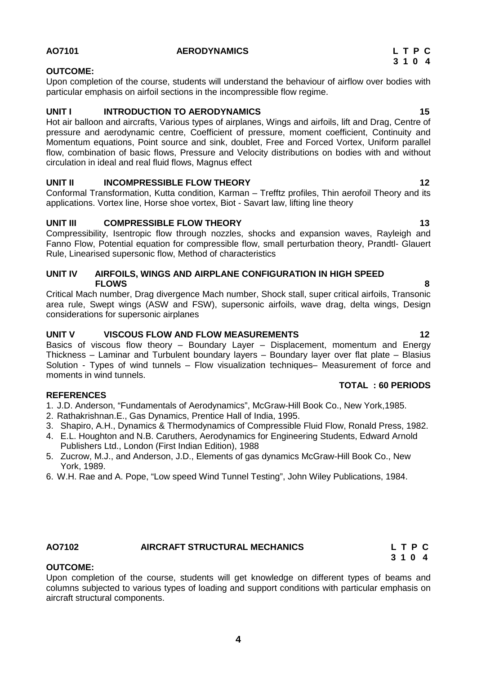### **4**

# **AO7101 AERODYNAMICS L T P C**

#### **OUTCOME:**

Upon completion of the course, students will understand the behaviour of airflow over bodies with particular emphasis on airfoil sections in the incompressible flow regime.

### **UNIT I INTRODUCTION TO AERODYNAMICS 15**

Hot air balloon and aircrafts, Various types of airplanes, Wings and airfoils, lift and Drag, Centre of pressure and aerodynamic centre, Coefficient of pressure, moment coefficient, Continuity and Momentum equations, Point source and sink, doublet, Free and Forced Vortex, Uniform parallel flow, combination of basic flows, Pressure and Velocity distributions on bodies with and without circulation in ideal and real fluid flows, Magnus effect

### **UNIT II INCOMPRESSIBLE FLOW THEORY 12**

Conformal Transformation, Kutta condition, Karman – Trefftz profiles, Thin aerofoil Theory and its applications. Vortex line, Horse shoe vortex, Biot - Savart law, lifting line theory

### **UNIT III COMPRESSIBLE FLOW THEORY 13**

Compressibility, Isentropic flow through nozzles, shocks and expansion waves, Rayleigh and Fanno Flow, Potential equation for compressible flow, small perturbation theory, Prandtl- Glauert Rule, Linearised supersonic flow, Method of characteristics

#### **UNIT IV AIRFOILS, WINGS AND AIRPLANE CONFIGURATION IN HIGH SPEED FLOWS 8**

Critical Mach number, Drag divergence Mach number, Shock stall, super critical airfoils, Transonic area rule, Swept wings (ASW and FSW), supersonic airfoils, wave drag, delta wings, Design considerations for supersonic airplanes

#### **UNIT V VISCOUS FLOW AND FLOW MEASUREMENTS 12**

Basics of viscous flow theory - Boundary Layer - Displacement, momentum and Energy Thickness – Laminar and Turbulent boundary layers – Boundary layer over flat plate – Blasius Solution - Types of wind tunnels – Flow visualization techniques– Measurement of force and moments in wind tunnels.

### **REFERENCES**

1. J.D. Anderson, "Fundamentals of Aerodynamics", McGraw-Hill Book Co., New York,1985.

- 2. Rathakrishnan.E., Gas Dynamics, Prentice Hall of India, 1995.
- 3. Shapiro, A.H., Dynamics & Thermodynamics of Compressible Fluid Flow, Ronald Press, 1982.
- 4. E.L. Houghton and N.B. Caruthers, Aerodynamics for Engineering Students, Edward Arnold Publishers Ltd., London (First Indian Edition), 1988
- 5. Zucrow, M.J., and Anderson, J.D., Elements of gas dynamics McGraw-Hill Book Co., New York, 1989.
- 6. W.H. Rae and A. Pope, "Low speed Wind Tunnel Testing", John Wiley Publications, 1984.

**OUTCOME:**

# **AO7102 AIRCRAFT STRUCTURAL MECHANICS L T P C**

Upon completion of the course, students will get knowledge on different types of beams and columns subjected to various types of loading and support conditions with particular emphasis on aircraft structural components.

**3 1 0 4**

**TOTAL : 60 PERIODS**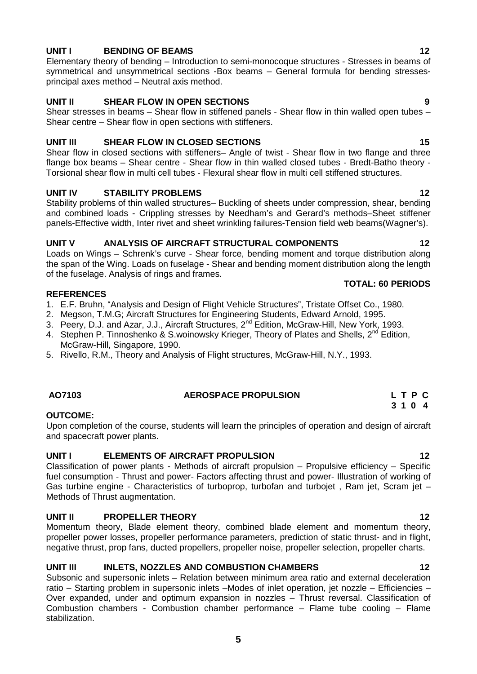### **5**

## **UNIT I BENDING OF BEAMS 12**

Elementary theory of bending – Introduction to semi-monocoque structures - Stresses in beams of symmetrical and unsymmetrical sections -Box beams – General formula for bending stresses principal axes method – Neutral axis method.

### **UNIT II SHEAR FLOW IN OPEN SECTIONS 9**

Shear stresses in beams – Shear flow in stiffened panels - Shear flow in thin walled open tubes – Shear centre – Shear flow in open sections with stiffeners.

### **UNIT III SHEAR FLOW IN CLOSED SECTIONS 15**

Shear flow in closed sections with stiffeners– Angle of twist - Shear flow in two flange and three flange box beams – Shear centre - Shear flow in thin walled closed tubes - Bredt-Batho theory - Torsional shear flow in multi cell tubes - Flexural shear flow in multi cell stiffened structures.

### **UNIT IV STABILITY PROBLEMS 12**

Stability problems of thin walled structures– Buckling of sheets under compression, shear, bending and combined loads - Crippling stresses by Needham's and Gerard's methods–Sheet stiffener panels-Effective width, Inter rivet and sheet wrinkling failures-Tension field web beams(Wagner's).

### **UNIT V ANALYSIS OF AIRCRAFT STRUCTURAL COMPONENTS 12**

Loads on Wings – Schrenk's curve - Shear force, bending moment and torque distribution along the span of the Wing. Loads on fuselage - Shear and bending moment distribution along the length of the fuselage. Analysis of rings and frames.

#### **REFERENCES**

- 1. E.F. Bruhn, "Analysis and Design of Flight Vehicle Structures", Tristate Offset Co., 1980.
- 2. Megson, T.M.G; Aircraft Structures for Engineering Students, Edward Arnold, 1995.
- 3. Peery, D.J. and Azar, J.J., Aircraft Structures, 2<sup>nd</sup> Edition, McGraw-Hill, New York, 1993.
- 4. Stephen P. Tinnoshenko & S.woinowsky Krieger, Theory of Plates and Shells, 2<sup>nd</sup> Edition, McGraw-Hill, Singapore, 1990.
- 5. Rivello, R.M., Theory and Analysis of Flight structures, McGraw-Hill, N.Y., 1993.

#### **OUTCOME:**

Upon completion of the course, students will learn the principles of operation and design of aircraft and spacecraft power plants.

### **UNIT I ELEMENTS OF AIRCRAFT PROPULSION 12**

Classification of power plants - Methods of aircraft propulsion – Propulsive efficiency – Specific fuel consumption - Thrust and power- Factors affecting thrust and power- Illustration of working of Gas turbine engine - Characteristics of turboprop, turbofan and turbojet , Ram jet, Scram jet – Methods of Thrust augmentation.

### **UNIT II PROPELLER THEORY 12**

Momentum theory, Blade element theory, combined blade element and momentum theory, propeller power losses, propeller performance parameters, prediction of static thrust- and in flight, negative thrust, prop fans, ducted propellers, propeller noise, propeller selection, propeller charts.

### **UNIT III INLETS, NOZZLES AND COMBUSTION CHAMBERS 12**

Subsonic and supersonic inlets – Relation between minimum area ratio and external deceleration ratio – Starting problem in supersonic inlets –Modes of inlet operation, jet nozzle – Efficiencies – Over expanded, under and optimum expansion in nozzles – Thrust reversal. Classification of Combustion chambers - Combustion chamber performance – Flame tube cooling – Flame stabilization.

#### **AO7103 AEROSPACE PROPULSION L T P C 3 1 0 4**

# **TOTAL: 60 PERIODS**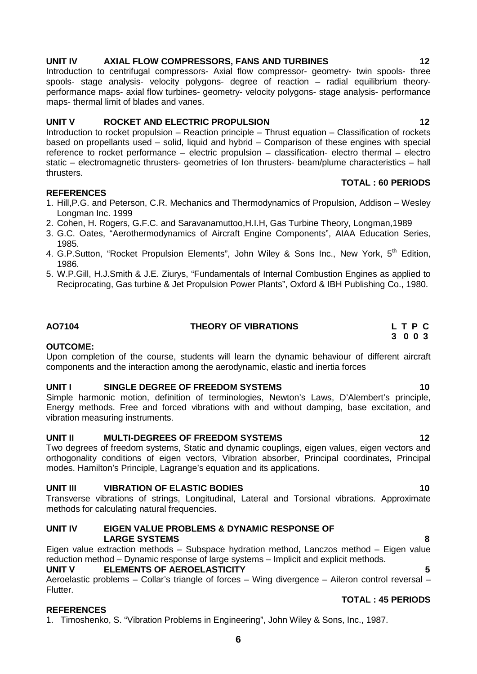## **UNIT IV AXIAL FLOW COMPRESSORS, FANS AND TURBINES 12**

Introduction to centrifugal compressors- Axial flow compressor- geometry- twin spools- three spools- stage analysis- velocity polygons- degree of reaction – radial equilibrium theory performance maps- axial flow turbines- geometry- velocity polygons- stage analysis- performance maps- thermal limit of blades and vanes.

#### **UNIT V ROCKET AND ELECTRIC PROPULSION 12**

Introduction to rocket propulsion – Reaction principle – Thrust equation – Classification of rockets based on propellants used – solid, liquid and hybrid – Comparison of these engines with special reference to rocket performance – electric propulsion – classification- electro thermal – electro static – electromagnetic thrusters- geometries of Ion thrusters- beam/plume characteristics – hall thrusters.

#### **REFERENCES**

- 1. Hill,P.G. and Peterson, C.R. Mechanics and Thermodynamics of Propulsion, Addison Wesley Longman Inc. 1999
- 2. Cohen, H. Rogers, G.F.C. and Saravanamuttoo,H.I.H, Gas Turbine Theory, Longman,1989
- 3. G.C. Oates, "Aerothermodynamics of Aircraft Engine Components", AIAA Education Series, 1985.
- 4. G.P.Sutton, "Rocket Propulsion Elements", John Wiley & Sons Inc., New York, 5<sup>th</sup> Edition, 1986.
- 5. W.P.Gill, H.J.Smith & J.E. Ziurys, "Fundamentals of Internal Combustion Engines as applied to Reciprocating, Gas turbine & Jet Propulsion Power Plants", Oxford & IBH Publishing Co., 1980.

#### **AO7104 THEORY OF VIBRATIONS L T P C**

#### **OUTCOME:**

Upon completion of the course, students will learn the dynamic behaviour of different aircraft components and the interaction among the aerodynamic, elastic and inertia forces

#### **UNIT I SINGLE DEGREE OF FREEDOM SYSTEMS 10**

Simple harmonic motion, definition of terminologies, Newton's Laws, D'Alembert's principle, Energy methods. Free and forced vibrations with and without damping, base excitation, and vibration measuring instruments.

### **UNIT II MULTI-DEGREES OF FREEDOM SYSTEMS 12**

Two degrees of freedom systems, Static and dynamic couplings, eigen values, eigen vectors and orthogonality conditions of eigen vectors, Vibration absorber, Principal coordinates, Principal modes. Hamilton's Principle, Lagrange's equation and its applications.

#### **UNIT III VIBRATION OF ELASTIC BODIES 10**

Transverse vibrations of strings, Longitudinal, Lateral and Torsional vibrations. Approximate methods for calculating natural frequencies.

#### **UNIT IV EIGEN VALUE PROBLEMS & DYNAMIC RESPONSE OF LARGE SYSTEMS 8**

Eigen value extraction methods – Subspace hydration method, Lanczos method – Eigen value reduction method – Dynamic response of large systems – Implicit and explicit methods.

#### **UNIT V ELEMENTS OF AEROELASTICITY 5**

Aeroelastic problems – Collar's triangle of forces – Wing divergence – Aileron control reversal – Flutter. **TOTAL : 45 PERIODS**

### **REFERENCES**

1. Timoshenko, S. "Vibration Problems in Engineering", John Wiley & Sons, Inc., 1987.

**TOTAL : 60 PERIODS**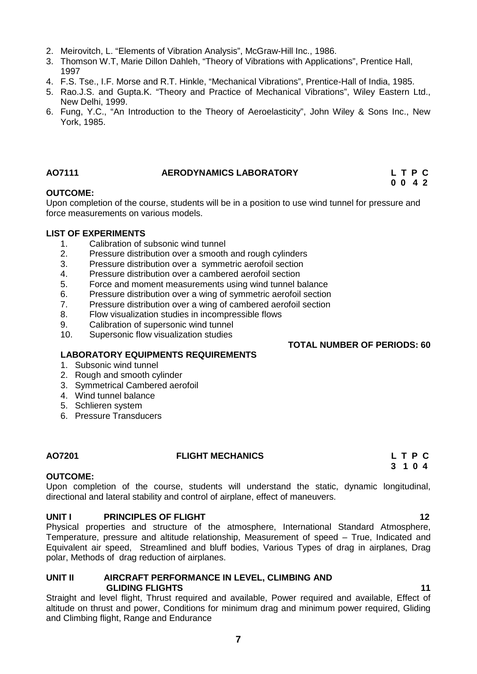- 2. Meirovitch, L. "Elements of Vibration Analysis", McGraw-Hill Inc., 1986.
- 3. Thomson W.T, Marie Dillon Dahleh, "Theory of Vibrations with Applications", Prentice Hall, 1997
- 4. F.S. Tse., I.F. Morse and R.T. Hinkle, "Mechanical Vibrations", Prentice-Hall of India, 1985.
- 5. Rao.J.S. and Gupta.K. "Theory and Practice of Mechanical Vibrations", Wiley Eastern Ltd., New Delhi, 1999.
- 6. Fung, Y.C., "An Introduction to the Theory of Aeroelasticity", John Wiley & Sons Inc., New York, 1985.

#### **AO7111 AERODYNAMICS LABORATORY L T P C**

#### **OUTCOME:**

Upon completion of the course, students will be in a position to use wind tunnel for pressure and force measurements on various models.

#### **LIST OF EXPERIMENTS**

- 1. Calibration of subsonic wind tunnel
- 2. Pressure distribution over a smooth and rough cylinders
- 3. Pressure distribution over a symmetric aerofoil section
- 
- 4. Pressure distribution over a cambered aerofoil section<br>5. Porce and moment measurements using wind tunnel b
- 5. Force and moment measurements using wind tunnel balance<br>6. Pressure distribution over a wing of symmetric aerofoil section
- 6. Pressure distribution over a wing of symmetric aerofoil section<br>7. Pressure distribution over a wing of cambered aerofoil section Pressure distribution over a wing of cambered aerofoil section
- 8. Flow visualization studies in incompressible flows
- 9. Calibration of supersonic wind tunnel
- 10. Supersonic flow visualization studies

#### **TOTAL NUMBER OF PERIODS: 60**

**0 0 4 2**

**3 1 0 4**

#### **LABORATORY EQUIPMENTS REQUIREMENTS**

- 1. Subsonic wind tunnel
- 2. Rough and smooth cylinder
- 3. Symmetrical Cambered aerofoil
- 4. Wind tunnel balance
- 5. Schlieren system
- 6. Pressure Transducers

#### **AO7201 FLIGHT MECHANICS L T P C**

#### **OUTCOME:**

Upon completion of the course, students will understand the static, dynamic longitudinal, directional and lateral stability and control of airplane, effect of maneuvers.

#### **UNIT I PRINCIPLES OF FLIGHT 12**

Physical properties and structure of the atmosphere, International Standard Atmosphere, Temperature, pressure and altitude relationship, Measurement of speed – True, Indicated and Equivalent air speed, Streamlined and bluff bodies, Various Types of drag in airplanes, Drag polar, Methods of drag reduction of airplanes.

#### **UNIT II AIRCRAFT PERFORMANCE IN LEVEL, CLIMBING AND GLIDING FLIGHTS 11**

Straight and level flight, Thrust required and available, Power required and available, Effect of altitude on thrust and power, Conditions for minimum drag and minimum power required, Gliding and Climbing flight, Range and Endurance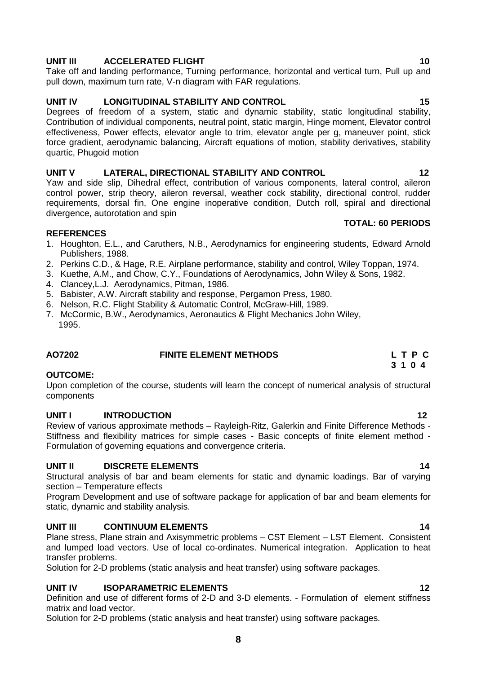## **UNIT III ACCELERATED FLIGHT 10**

Take off and landing performance, Turning performance, horizontal and vertical turn, Pull up and pull down, maximum turn rate, V-n diagram with FAR regulations.

### **UNIT IV LONGITUDINAL STABILITY AND CONTROL 15**

Degrees of freedom of a system, static and dynamic stability, static longitudinal stability, Contribution of individual components, neutral point, static margin, Hinge moment, Elevator control effectiveness, Power effects, elevator angle to trim, elevator angle per g, maneuver point, stick force gradient, aerodynamic balancing, Aircraft equations of motion, stability derivatives, stability quartic, Phugoid motion

#### **UNIT V LATERAL, DIRECTIONAL STABILITY AND CONTROL 12**

Yaw and side slip, Dihedral effect, contribution of various components, lateral control, aileron control power, strip theory, aileron reversal, weather cock stability, directional control, rudder requirements, dorsal fin, One engine inoperative condition, Dutch roll, spiral and directional divergence, autorotation and spin

#### **REFERENCES**

- 1. Houghton, E.L., and Caruthers, N.B., Aerodynamics for engineering students, Edward Arnold Publishers, 1988.
- 2. Perkins C.D., & Hage, R.E. Airplane performance, stability and control, Wiley Toppan, 1974.
- 3. Kuethe, A.M., and Chow, C.Y., Foundations of Aerodynamics, John Wiley & Sons, 1982.
- 4. Clancey,L.J. Aerodynamics, Pitman, 1986.
- 5. Babister, A.W. Aircraft stability and response, Pergamon Press, 1980.
- 6. Nelson, R.C. Flight Stability & Automatic Control, McGraw-Hill, 1989.
- 7. McCormic, B.W., Aerodynamics, Aeronautics & Flight Mechanics John Wiley, 1995.

# **AO7202 FINITE ELEMENT METHODS L T P C**

#### **OUTCOME:**

Upon completion of the course, students will learn the concept of numerical analysis of structural components

#### **UNIT I INTRODUCTION 12**

Review of various approximate methods – Rayleigh-Ritz, Galerkin and Finite Difference Methods - Stiffness and flexibility matrices for simple cases - Basic concepts of finite element method - Formulation of governing equations and convergence criteria.

#### **UNIT II DISCRETE ELEMENTS 14**

Structural analysis of bar and beam elements for static and dynamic loadings. Bar of varying section – Temperature effects

Program Development and use of software package for application of bar and beam elements for static, dynamic and stability analysis.

#### **UNIT III CONTINUUM ELEMENTS 14**

Plane stress, Plane strain and Axisymmetric problems – CST Element – LST Element. Consistent and lumped load vectors. Use of local co-ordinates. Numerical integration. Application to heat transfer problems.

Solution for 2-D problems (static analysis and heat transfer) using software packages.

#### **UNIT IV ISOPARAMETRIC ELEMENTS 12**

Definition and use of different forms of 2-D and 3-D elements. - Formulation of element stiffness matrix and load vector.

Solution for 2-D problems (static analysis and heat transfer) using software packages.

# **TOTAL: 60 PERIODS**

# **3 1 0 4**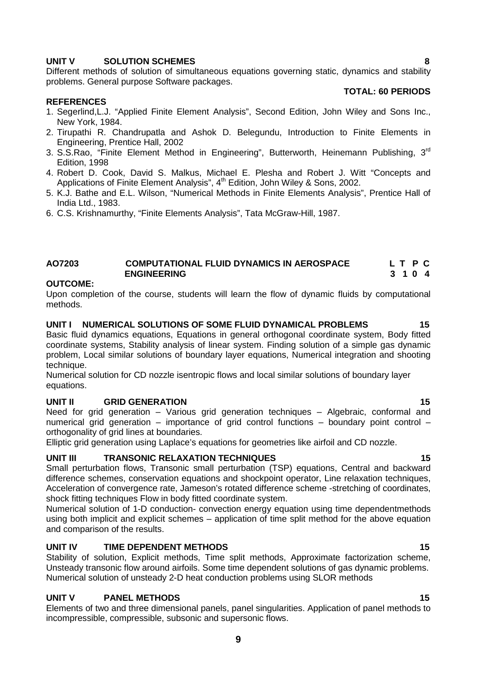#### **UNIT V SOLUTION SCHEMES 8**

Different methods of solution of simultaneous equations governing static, dynamics and stability problems. General purpose Software packages.

#### **TOTAL: 60 PERIODS**

#### **REFERENCES**

- 1. Segerlind,L.J. "Applied Finite Element Analysis", Second Edition, John Wiley and Sons Inc., New York, 1984.
- 2. Tirupathi R. Chandrupatla and Ashok D. Belegundu, Introduction to Finite Elements in Engineering, Prentice Hall, 2002
- 3. S.S.Rao, "Finite Element Method in Engineering", Butterworth, Heinemann Publishing, 3<sup>rd</sup> Edition, 1998
- 4. Robert D. Cook, David S. Malkus, Michael E. Plesha and Robert J. Witt "Concepts and Applications of Finite Element Analysis", 4<sup>th</sup> Edition, John Wiley & Sons, 2002.
- 5. K.J. Bathe and E.L. Wilson, "Numerical Methods in Finite Elements Analysis", Prentice Hall of India Ltd., 1983.
- 6. C.S. Krishnamurthy, "Finite Elements Analysis", Tata McGraw-Hill, 1987.

#### **AO7203 COMPUTATIONAL FLUID DYNAMICS IN AEROSPACE L T P C ENGINEERING 3 1 0 4**

#### **OUTCOME:**

Upon completion of the course, students will learn the flow of dynamic fluids by computational methods.

### **UNIT I NUMERICAL SOLUTIONS OF SOME FLUID DYNAMICAL PROBLEMS 15**

Basic fluid dynamics equations, Equations in general orthogonal coordinate system, Body fitted coordinate systems, Stability analysis of linear system. Finding solution of a simple gas dynamic problem, Local similar solutions of boundary layer equations, Numerical integration and shooting technique.

Numerical solution for CD nozzle isentropic flows and local similar solutions of boundary layer equations.

#### **UNIT II GRID GENERATION 15**

Need for grid generation – Various grid generation techniques – Algebraic, conformal and numerical grid generation – importance of grid control functions – boundary point control – orthogonality of grid lines at boundaries.

Elliptic grid generation using Laplace's equations for geometries like airfoil and CD nozzle.

#### **UNIT III TRANSONIC RELAXATION TECHNIQUES 15**

Small perturbation flows, Transonic small perturbation (TSP) equations, Central and backward difference schemes, conservation equations and shockpoint operator, Line relaxation techniques, Acceleration of convergence rate, Jameson's rotated difference scheme -stretching of coordinates, shock fitting techniques Flow in body fitted coordinate system.

Numerical solution of 1-D conduction- convection energy equation using time dependentmethods using both implicit and explicit schemes – application of time split method for the above equation and comparison of the results.

#### **UNIT IV TIME DEPENDENT METHODS 15**

Stability of solution, Explicit methods, Time split methods, Approximate factorization scheme, Unsteady transonic flow around airfoils. Some time dependent solutions of gas dynamic problems. Numerical solution of unsteady 2-D heat conduction problems using SLOR methods

#### **UNIT V PANEL METHODS 15**

Elements of two and three dimensional panels, panel singularities. Application of panel methods to incompressible, compressible, subsonic and supersonic flows.

### **9**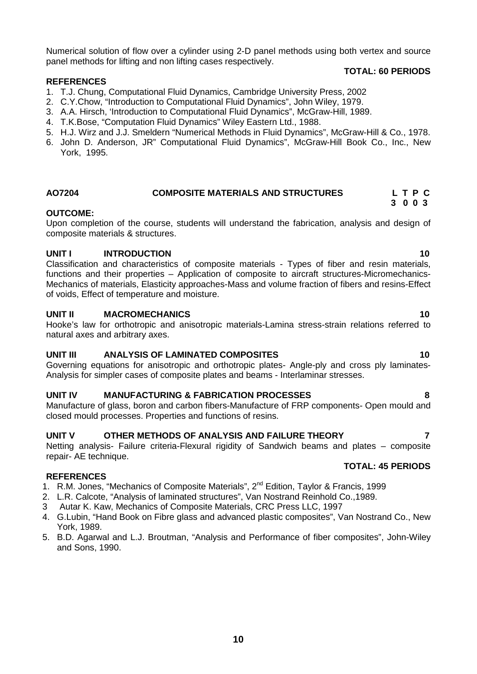Numerical solution of flow over a cylinder using 2-D panel methods using both vertex and source panel methods for lifting and non lifting cases respectively.

#### **REFERENCES**

- 1. T.J. Chung, Computational Fluid Dynamics, Cambridge University Press, 2002
- 2. C.Y.Chow, "Introduction to Computational Fluid Dynamics", John Wiley, 1979.
- 3. A.A. Hirsch, 'Introduction to Computational Fluid Dynamics", McGraw-Hill, 1989.
- 4. T.K.Bose, "Computation Fluid Dynamics" Wiley Eastern Ltd., 1988.
- 5. H.J. Wirz and J.J. Smeldern "Numerical Methods in Fluid Dynamics", McGraw-Hill & Co., 1978.
- 6. John D. Anderson, JR" Computational Fluid Dynamics", McGraw-Hill Book Co., Inc., New York, 1995.

#### **AO7204 COMPOSITE MATERIALS AND STRUCTURES L T P C 3 0 0 3**

### **OUTCOME:**

Upon completion of the course, students will understand the fabrication, analysis and design of composite materials & structures.

### **UNIT I INTRODUCTION 10**

Classification and characteristics of composite materials - Types of fiber and resin materials, functions and their properties – Application of composite to aircraft structures-Micromechanics- Mechanics of materials, Elasticity approaches-Mass and volume fraction of fibers and resins-Effect of voids, Effect of temperature and moisture.

#### **UNIT II MACROMECHANICS 10**

Hooke's law for orthotropic and anisotropic materials-Lamina stress-strain relations referred to natural axes and arbitrary axes.

### **UNIT III ANALYSIS OF LAMINATED COMPOSITES 10**

Governing equations for anisotropic and orthotropic plates- Angle-ply and cross ply laminates- Analysis for simpler cases of composite plates and beams - Interlaminar stresses.

### **UNIT IV MANUFACTURING & FABRICATION PROCESSES 8**

Manufacture of glass, boron and carbon fibers-Manufacture of FRP components- Open mould and closed mould processes. Properties and functions of resins.

### **UNIT V OTHER METHODS OF ANALYSIS AND FAILURE THEORY 7**

Netting analysis- Failure criteria-Flexural rigidity of Sandwich beams and plates – composite repair- AE technique.

#### **REFERENCES**

- 1. R.M. Jones, "Mechanics of Composite Materials", 2<sup>nd</sup> Edition, Taylor & Francis, 1999
- 2. L.R. Calcote, "Analysis of laminated structures", Van Nostrand Reinhold Co.,1989.
- 3 Autar K. Kaw, Mechanics of Composite Materials, CRC Press LLC, 1997
- 4. G.Lubin, "Hand Book on Fibre glass and advanced plastic composites", Van Nostrand Co., New York, 1989.
- 5. B.D. Agarwal and L.J. Broutman, "Analysis and Performance of fiber composites", John-Wiley and Sons, 1990.

#### **TOTAL: 60 PERIODS**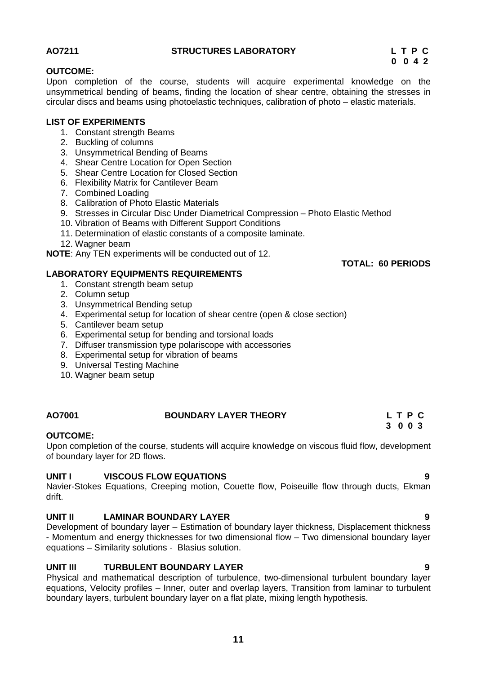#### **AO7211 STRUCTURES LABORATORY L T P C**

# **0 0 4 2**

#### **OUTCOME:**

Upon completion of the course, students will acquire experimental knowledge on the unsymmetrical bending of beams, finding the location of shear centre, obtaining the stresses in circular discs and beams using photoelastic techniques, calibration of photo – elastic materials.

#### **LIST OF EXPERIMENTS**

- 1. Constant strength Beams
- 2. Buckling of columns
- 3. Unsymmetrical Bending of Beams
- 4. Shear Centre Location for Open Section
- 5. Shear Centre Location for Closed Section
- 6. Flexibility Matrix for Cantilever Beam
- 7. Combined Loading
- 8. Calibration of Photo Elastic Materials
- 9. Stresses in Circular Disc Under Diametrical Compression Photo Elastic Method
- 10. Vibration of Beams with Different Support Conditions
- 11. Determination of elastic constants of a composite laminate.
- 12. Wagner beam

**NOTE**: Any TEN experiments will be conducted out of 12.

### **LABORATORY EQUIPMENTS REQUIREMENTS**

- 1. Constant strength beam setup
- 2. Column setup
- 3. Unsymmetrical Bending setup
- 4. Experimental setup for location of shear centre (open & close section)
- 5. Cantilever beam setup
- 6. Experimental setup for bending and torsional loads
- 7. Diffuser transmission type polariscope with accessories
- 8. Experimental setup for vibration of beams
- 9. Universal Testing Machine
- 10. Wagner beam setup

### **AO7001 BOUNDARY LAYER THEORY L T P C**

#### **OUTCOME:**

Upon completion of the course, students will acquire knowledge on viscous fluid flow, development of boundary layer for 2D flows.

### **UNIT I VISCOUS FLOW EQUATIONS 9**

Navier-Stokes Equations, Creeping motion, Couette flow, Poiseuille flow through ducts, Ekman drift.

### **UNIT II LAMINAR BOUNDARY LAYER 9**

Development of boundary layer – Estimation of boundary layer thickness, Displacement thickness - Momentum and energy thicknesses for two dimensional flow – Two dimensional boundary layer equations – Similarity solutions - Blasius solution.

### **UNIT III TURBULENT BOUNDARY LAYER 9**

Physical and mathematical description of turbulence, two-dimensional turbulent boundary layer equations, Velocity profiles – Inner, outer and overlap layers, Transition from laminar to turbulent boundary layers, turbulent boundary layer on a flat plate, mixing length hypothesis.

**TOTAL: 60 PERIODS**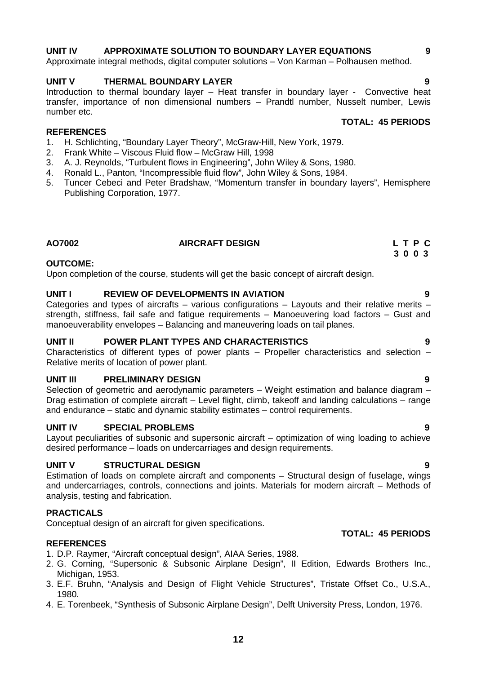### **UNIT IV APPROXIMATE SOLUTION TO BOUNDARY LAYER EQUATIONS 9**

Approximate integral methods, digital computer solutions – Von Karman – Polhausen method.

#### **UNIT V THERMAL BOUNDARY LAYER 9**

Introduction to thermal boundary layer – Heat transfer in boundary layer - Convective heat transfer, importance of non dimensional numbers – Prandtl number, Nusselt number, Lewis number etc. **TOTAL: 45 PERIODS**

#### **REFERENCES**

- 1. H. Schlichting, "Boundary Layer Theory", McGraw-Hill, New York, 1979.<br>2. Frank White Viscous Fluid flow McGraw Hill, 1998
- 2. Frank White Viscous Fluid flow McGraw Hill, 1998
- 3. A. J. Reynolds, "Turbulent flows in Engineering", John Wiley & Sons, 1980.
- 4. Ronald L., Panton, "Incompressible fluid flow", John Wiley & Sons, 1984.
- 5. Tuncer Cebeci and Peter Bradshaw, "Momentum transfer in boundary layers", Hemisphere Publishing Corporation, 1977.

#### **AO7002 AIRCRAFT DESIGN L T P C**

#### **OUTCOME:**

Upon completion of the course, students will get the basic concept of aircraft design.

#### **UNIT I REVIEW OF DEVELOPMENTS IN AVIATION 9**

Categories and types of aircrafts – various configurations – Layouts and their relative merits – strength, stiffness, fail safe and fatigue requirements – Manoeuvering load factors – Gust and manoeuverability envelopes – Balancing and maneuvering loads on tail planes.

#### **UNIT II POWER PLANT TYPES AND CHARACTERISTICS 9**

Characteristics of different types of power plants – Propeller characteristics and selection – Relative merits of location of power plant.

#### **UNIT III PRELIMINARY DESIGN 9**

Selection of geometric and aerodynamic parameters – Weight estimation and balance diagram – Drag estimation of complete aircraft – Level flight, climb, takeoff and landing calculations – range and endurance – static and dynamic stability estimates – control requirements.

#### **UNIT IV SPECIAL PROBLEMS 9**

Layout peculiarities of subsonic and supersonic aircraft – optimization of wing loading to achieve desired performance – loads on undercarriages and design requirements.

#### **UNIT V STRUCTURAL DESIGN 9**

Estimation of loads on complete aircraft and components – Structural design of fuselage, wings and undercarriages, controls, connections and joints. Materials for modern aircraft – Methods of analysis, testing and fabrication.

#### **PRACTICALS**

Conceptual design of an aircraft for given specifications.

#### **REFERENCES**

- 1. D.P. Raymer, "Aircraft conceptual design", AIAA Series, 1988.
- 2. G. Corning, "Supersonic & Subsonic Airplane Design", II Edition, Edwards Brothers Inc., Michigan, 1953.
- 3. E.F. Bruhn, "Analysis and Design of Flight Vehicle Structures", Tristate Offset Co., U.S.A., 1980.
- 4. E. Torenbeek, "Synthesis of Subsonic Airplane Design", Delft University Press, London, 1976.

**TOTAL: 45 PERIODS**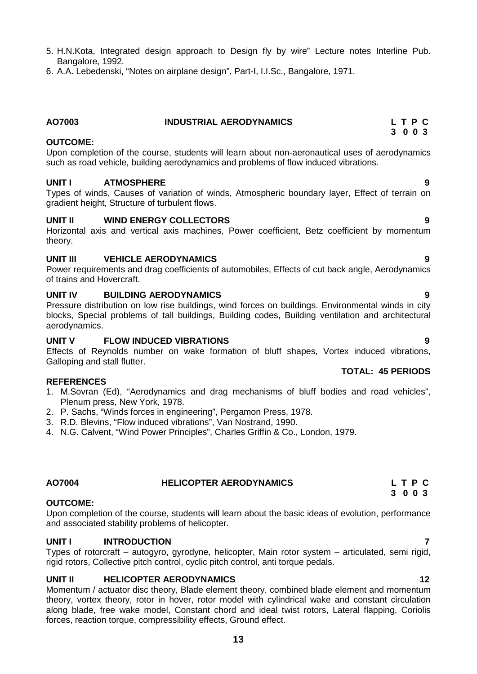- 5. H.N.Kota, Integrated design approach to Design fly by wire" Lecture notes Interline Pub. Bangalore, 1992.
- 6. A.A. Lebedenski, "Notes on airplane design", Part-I, I.I.Sc., Bangalore, 1971.

# **OUTCOME:**

Upon completion of the course, students will learn about non-aeronautical uses of aerodynamics such as road vehicle, building aerodynamics and problems of flow induced vibrations.

**AO7003 INDUSTRIAL AERODYNAMICS L T P C**

#### **UNIT I ATMOSPHERE 9**

Types of winds, Causes of variation of winds, Atmospheric boundary layer, Effect of terrain on gradient height, Structure of turbulent flows.

#### **UNIT II WIND ENERGY COLLECTORS 9**

Horizontal axis and vertical axis machines, Power coefficient, Betz coefficient by momentum theory.

#### **UNIT III VEHICLE AERODYNAMICS 9**

Power requirements and drag coefficients of automobiles, Effects of cut back angle, Aerodynamics of trains and Hovercraft.

#### **UNIT IV BUILDING AERODYNAMICS 9**

Pressure distribution on low rise buildings, wind forces on buildings. Environmental winds in city blocks, Special problems of tall buildings, Building codes, Building ventilation and architectural aerodynamics.

#### **UNIT V FLOW INDUCED VIBRATIONS 9**

Effects of Reynolds number on wake formation of bluff shapes, Vortex induced vibrations, Galloping and stall flutter.

#### **REFERENCES**

- 1. M.Sovran (Ed), "Aerodynamics and drag mechanisms of bluff bodies and road vehicles", Plenum press, New York, 1978.
- 2. P. Sachs, "Winds forces in engineering", Pergamon Press, 1978.
- 3. R.D. Blevins, "Flow induced vibrations", Van Nostrand, 1990.
- 4. N.G. Calvent, "Wind Power Principles", Charles Griffin & Co., London, 1979.

### **OUTCOME:**

Upon completion of the course, students will learn about the basic ideas of evolution, performance and associated stability problems of helicopter.

### **UNIT I INTRODUCTION 7**

Types of rotorcraft – autogyro, gyrodyne, helicopter, Main rotor system – articulated, semi rigid, rigid rotors, Collective pitch control, cyclic pitch control, anti torque pedals.

## **UNIT II HELICOPTER AERODYNAMICS 12**

Momentum / actuator disc theory, Blade element theory, combined blade element and momentum theory, vortex theory, rotor in hover, rotor model with cylindrical wake and constant circulation along blade, free wake model, Constant chord and ideal twist rotors, Lateral flapping, Coriolis forces, reaction torque, compressibility effects, Ground effect.

#### **TOTAL: 45 PERIODS**

# **AO7004 HELICOPTER AERODYNAMICS L T P C**

**3 0 0 3**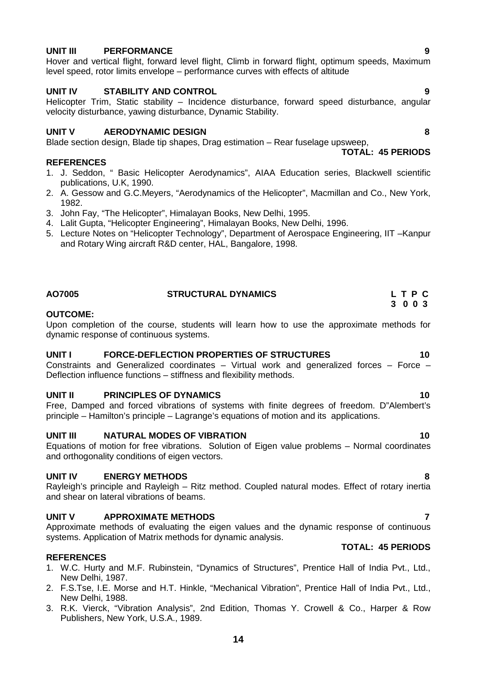### **UNIT III PERFORMANCE 9**

Hover and vertical flight, forward level flight, Climb in forward flight, optimum speeds, Maximum level speed, rotor limits envelope – performance curves with effects of altitude

#### **UNIT IV STABILITY AND CONTROL 9**

Helicopter Trim, Static stability – Incidence disturbance, forward speed disturbance, angular velocity disturbance, yawing disturbance, Dynamic Stability.

#### **UNIT V AERODYNAMIC DESIGN 8**

Blade section design, Blade tip shapes, Drag estimation – Rear fuselage upsweep, **TOTAL: 45 PERIODS**

#### **REFERENCES**

- 1. J. Seddon, " Basic Helicopter Aerodynamics", AIAA Education series, Blackwell scientific publications, U.K, 1990.
- 2. A. Gessow and G.C.Meyers, "Aerodynamics of the Helicopter", Macmillan and Co., New York, 1982.
- 3. John Fay, "The Helicopter", Himalayan Books, New Delhi, 1995.
- 4. Lalit Gupta, "Helicopter Engineering", Himalayan Books, New Delhi, 1996.
- 5. Lecture Notes on "Helicopter Technology", Department of Aerospace Engineering, IIT –Kanpur and Rotary Wing aircraft R&D center, HAL, Bangalore, 1998.

| AO7005 | <b>STRUCTURAL DYNAMICS</b> | LTPC    |
|--------|----------------------------|---------|
|        |                            | 3 0 0 3 |

#### **OUTCOME:**

Upon completion of the course, students will learn how to use the approximate methods for dynamic response of continuous systems.

#### **UNIT I FORCE-DEFLECTION PROPERTIES OF STRUCTURES 10**

Constraints and Generalized coordinates  $-$  Virtual work and generalized forces  $-$  Force  $-$ Deflection influence functions – stiffness and flexibility methods.

#### **UNIT II PRINCIPLES OF DYNAMICS 10**

Free, Damped and forced vibrations of systems with finite degrees of freedom. D"Alembert's principle – Hamilton's principle – Lagrange's equations of motion and its applications.

#### **UNIT III NATURAL MODES OF VIBRATION 10**

Equations of motion for free vibrations. Solution of Eigen value problems – Normal coordinates and orthogonality conditions of eigen vectors.

#### **UNIT IV ENERGY METHODS 8**

Rayleigh's principle and Rayleigh – Ritz method. Coupled natural modes. Effect of rotary inertia and shear on lateral vibrations of beams.

#### **UNIT V APPROXIMATE METHODS 7**

Approximate methods of evaluating the eigen values and the dynamic response of continuous systems. Application of Matrix methods for dynamic analysis. **TOTAL: 45 PERIODS**

#### **REFERENCES**

- 1. W.C. Hurty and M.F. Rubinstein, "Dynamics of Structures", Prentice Hall of India Pvt., Ltd., New Delhi, 1987.
- 2. F.S.Tse, I.E. Morse and H.T. Hinkle, "Mechanical Vibration", Prentice Hall of India Pvt., Ltd., New Delhi, 1988.
- 3. R.K. Vierck, "Vibration Analysis", 2nd Edition, Thomas Y. Crowell & Co., Harper & Row Publishers, New York, U.S.A., 1989.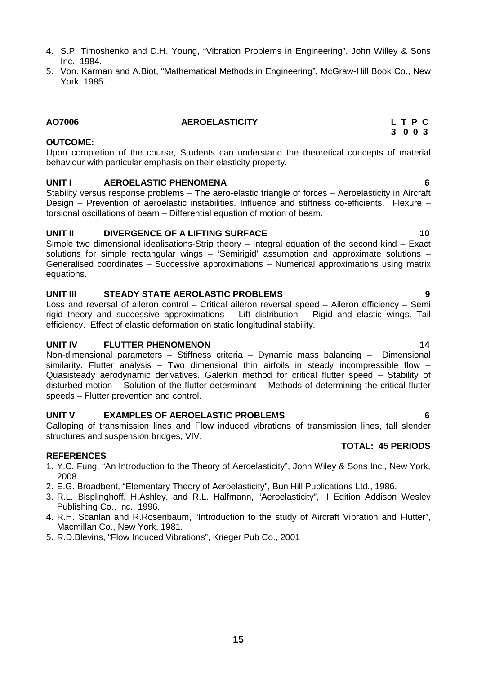- 4. S.P. Timoshenko and D.H. Young, "Vibration Problems in Engineering", John Willey & Sons Inc., 1984.
- 5. Von. Karman and A.Biot, "Mathematical Methods in Engineering", McGraw-Hill Book Co., New York, 1985.

#### **OUTCOME:**

Upon completion of the course, Students can understand the theoretical concepts of material behaviour with particular emphasis on their elasticity property.

#### **UNIT I AEROELASTIC PHENOMENA 6**

Stability versus response problems – The aero-elastic triangle of forces – Aeroelasticity in Aircraft Design – Prevention of aeroelastic instabilities. Influence and stiffness co-efficients. Flexure – torsional oscillations of beam – Differential equation of motion of beam.

### **UNIT II DIVERGENCE OF A LIFTING SURFACE 10**

Simple two dimensional idealisations-Strip theory – Integral equation of the second kind – Exact solutions for simple rectangular wings – 'Semirigid' assumption and approximate solutions – Generalised coordinates – Successive approximations – Numerical approximations using matrix equations.

### **UNIT III STEADY STATE AEROLASTIC PROBLEMS 9**

Loss and reversal of aileron control – Critical aileron reversal speed – Aileron efficiency – Semi rigid theory and successive approximations – Lift distribution – Rigid and elastic wings. Tail efficiency. Effect of elastic deformation on static longitudinal stability.

### **UNIT IV FLUTTER PHENOMENON 14**

Non-dimensional parameters – Stiffness criteria – Dynamic mass balancing – Dimensional similarity. Flutter analysis – Two dimensional thin airfoils in steady incompressible flow – Quasisteady aerodynamic derivatives. Galerkin method for critical flutter speed – Stability of disturbed motion – Solution of the flutter determinant – Methods of determining the critical flutter speeds – Flutter prevention and control.

### **UNIT V EXAMPLES OF AEROELASTIC PROBLEMS 6**

Galloping of transmission lines and Flow induced vibrations of transmission lines, tall slender structures and suspension bridges, VIV.

### **REFERENCES**

- 1. Y.C. Fung, "An Introduction to the Theory of Aeroelasticity", John Wiley & Sons Inc., New York, 2008.
- 2. E.G. Broadbent, "Elementary Theory of Aeroelasticity", Bun Hill Publications Ltd., 1986.
- 3. R.L. Bisplinghoff, H.Ashley, and R.L. Halfmann, "Aeroelasticity", II Edition Addison Wesley Publishing Co., Inc., 1996.
- 4. R.H. Scanlan and R.Rosenbaum, "Introduction to the study of Aircraft Vibration and Flutter", Macmillan Co., New York, 1981.
- 5. R.D.Blevins, "Flow Induced Vibrations", Krieger Pub Co., 2001

#### **AO7006 AEROELASTICITY L T P C 3 0 0 3**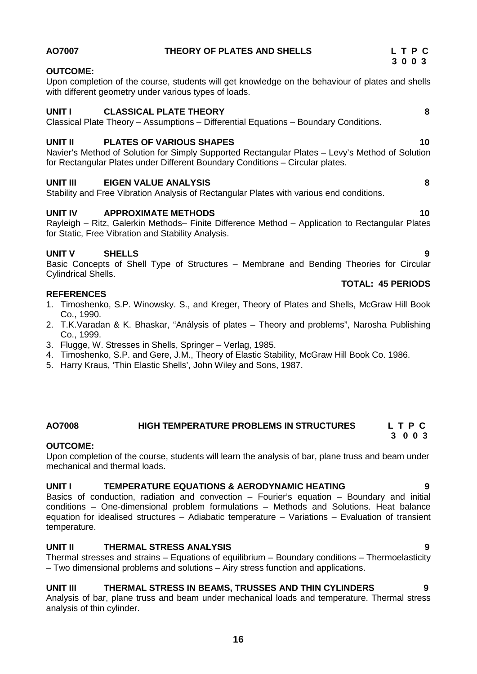#### **OUTCOME:**

Upon completion of the course, students will get knowledge on the behaviour of plates and shells with different geometry under various types of loads.

#### **UNIT I CLASSICAL PLATE THEORY 8**

Classical Plate Theory – Assumptions – Differential Equations – Boundary Conditions.

#### **UNIT II PLATES OF VARIOUS SHAPES 10**

Navier's Method of Solution for Simply Supported Rectangular Plates – Levy's Method of Solution for Rectangular Plates under Different Boundary Conditions – Circular plates.

#### **UNIT III EIGEN VALUE ANALYSIS 8**

Stability and Free Vibration Analysis of Rectangular Plates with various end conditions.

#### **UNIT IV APPROXIMATE METHODS 10**

Rayleigh – Ritz, Galerkin Methods– Finite Difference Method – Application to Rectangular Plates for Static, Free Vibration and Stability Analysis.

### **UNIT V SHELLS 9**

Basic Concepts of Shell Type of Structures – Membrane and Bending Theories for Circular Cylindrical Shells.

#### **REFERENCES**

- 1. Timoshenko, S.P. Winowsky. S., and Kreger, Theory of Plates and Shells, McGraw Hill Book Co., 1990.
- 2. T.K.Varadan & K. Bhaskar, "Análysis of plates Theory and problems", Narosha Publishing Co., 1999.
- 3. Flugge, W. Stresses in Shells, Springer Verlag, 1985.
- 4. Timoshenko, S.P. and Gere, J.M., Theory of Elastic Stability, McGraw Hill Book Co. 1986.
- 5. Harry Kraus, 'Thin Elastic Shells', John Wiley and Sons, 1987.

#### **AO7008 HIGH TEMPERATURE PROBLEMS IN STRUCTURES L T P C 3 0 0 3**

#### **OUTCOME:**

Upon completion of the course, students will learn the analysis of bar, plane truss and beam under mechanical and thermal loads.

#### **UNIT I TEMPERATURE EQUATIONS & AERODYNAMIC HEATING 9**

Basics of conduction, radiation and convection  $-$  Fourier's equation  $-$  Boundary and initial conditions – One-dimensional problem formulations – Methods and Solutions. Heat balance equation for idealised structures – Adiabatic temperature – Variations – Evaluation of transient temperature.

#### **UNIT II THERMAL STRESS ANALYSIS 9**

Thermal stresses and strains – Equations of equilibrium – Boundary conditions – Thermoelasticity – Two dimensional problems and solutions – Airy stress function and applications.

#### **UNIT III THERMAL STRESS IN BEAMS, TRUSSES AND THIN CYLINDERS 9**

Analysis of bar, plane truss and beam under mechanical loads and temperature. Thermal stress analysis of thin cylinder.

#### **TOTAL: 45 PERIODS**

#### **AO7007 THEORY OF PLATES AND SHELLS L T P C 3 0 0 3**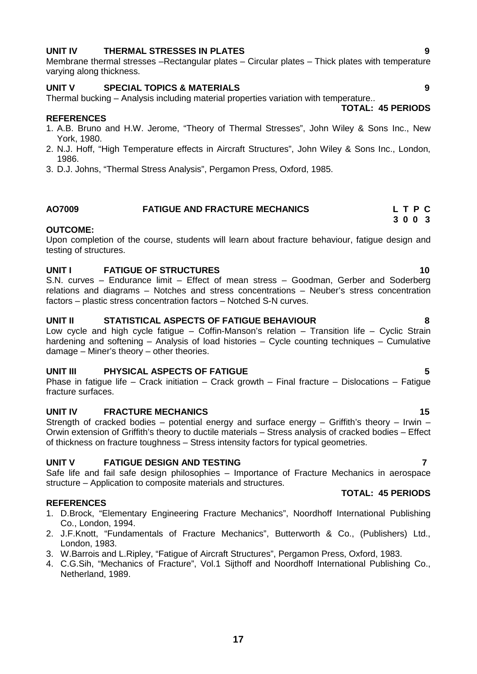### **UNIT IV THERMAL STRESSES IN PLATES 9**

Membrane thermal stresses –Rectangular plates – Circular plates – Thick plates with temperature varying along thickness.

#### **UNIT V SPECIAL TOPICS & MATERIALS 9**

Thermal bucking – Analysis including material properties variation with temperature.. **TOTAL: 45 PERIODS**

#### **REFERENCES**

- 1. A.B. Bruno and H.W. Jerome, "Theory of Thermal Stresses", John Wiley & Sons Inc., New York, 1980.
- 2. N.J. Hoff, "High Temperature effects in Aircraft Structures", John Wiley & Sons Inc., London, 1986.
- 3. D.J. Johns, "Thermal Stress Analysis", Pergamon Press, Oxford, 1985.

#### **AO7009 FATIGUE AND FRACTURE MECHANICS L T P C 3 0 0 3**

#### **OUTCOME:**

Upon completion of the course, students will learn about fracture behaviour, fatigue design and testing of structures.

#### **UNIT I FATIGUE OF STRUCTURES 10**

S.N. curves – Endurance limit – Effect of mean stress – Goodman, Gerber and Soderberg relations and diagrams – Notches and stress concentrations – Neuber's stress concentration factors – plastic stress concentration factors – Notched S-N curves.

#### **UNIT II STATISTICAL ASPECTS OF FATIGUE BEHAVIOUR 8**

Low cycle and high cycle fatigue – Coffin-Manson's relation – Transition life – Cyclic Strain hardening and softening – Analysis of load histories – Cycle counting techniques – Cumulative damage – Miner's theory – other theories.

#### **UNIT III PHYSICAL ASPECTS OF FATIGUE 5**

Phase in fatigue life – Crack initiation – Crack growth – Final fracture – Dislocations – Fatigue fracture surfaces.

#### **UNIT IV FRACTURE MECHANICS 15**

Strength of cracked bodies – potential energy and surface energy – Griffith's theory – Irwin – Orwin extension of Griffith's theory to ductile materials – Stress analysis of cracked bodies – Effect of thickness on fracture toughness – Stress intensity factors for typical geometries.

#### **UNIT V FATIGUE DESIGN AND TESTING 7**

Safe life and fail safe design philosophies – Importance of Fracture Mechanics in aerospace structure – Application to composite materials and structures.

#### **REFERENCES**

- 1. D.Brock, "Elementary Engineering Fracture Mechanics", Noordhoff International Publishing Co., London, 1994.
- 2. J.F.Knott, "Fundamentals of Fracture Mechanics", Butterworth & Co., (Publishers) Ltd., London, 1983.
- 3. W.Barrois and L.Ripley, "Fatigue of Aircraft Structures", Pergamon Press, Oxford, 1983.
- 4. C.G.Sih, "Mechanics of Fracture", Vol.1 Sijthoff and Noordhoff International Publishing Co., Netherland, 1989.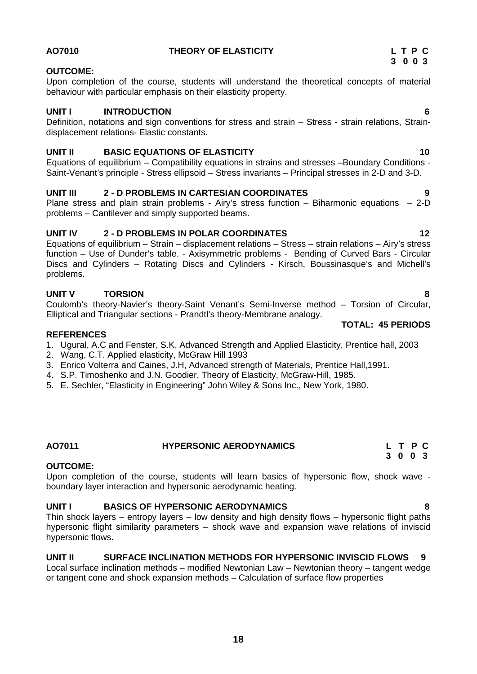#### **AO7010 THEORY OF ELASTICITY L T P C**

#### **OUTCOME:**

Upon completion of the course, students will understand the theoretical concepts of material behaviour with particular emphasis on their elasticity property.

#### **UNIT I INTRODUCTION 6**

Definition, notations and sign conventions for stress and strain – Stress - strain relations, Strain displacement relations- Elastic constants.

#### **UNIT II BASIC EQUATIONS OF ELASTICITY 10**

Equations of equilibrium – Compatibility equations in strains and stresses –Boundary Conditions - Saint-Venant's principle - Stress ellipsoid – Stress invariants – Principal stresses in 2-D and 3-D.

#### **UNIT III 2 - D PROBLEMS IN CARTESIAN COORDINATES 9**

Plane stress and plain strain problems - Airy's stress function – Biharmonic equations – 2-D problems – Cantilever and simply supported beams.

#### **UNIT IV 2 - D PROBLEMS IN POLAR COORDINATES 12**

Equations of equilibrium – Strain – displacement relations – Stress – strain relations – Airy's stress function – Use of Dunder's table. - Axisymmetric problems - Bending of Curved Bars - Circular Discs and Cylinders – Rotating Discs and Cylinders - Kirsch, Boussinasque's and Michell's problems.

### **UNIT V TORSION 8**

Coulomb's theory-Navier's theory-Saint Venant's Semi-Inverse method – Torsion of Circular, Elliptical and Triangular sections - Prandtl's theory-Membrane analogy.

#### **REFERENCES**

- 1. Ugural, A.C and Fenster, S.K, Advanced Strength and Applied Elasticity, Prentice hall, 2003
- 2. Wang, C.T. Applied elasticity, McGraw Hill 1993
- 3. Enrico Volterra and Caines, J.H, Advanced strength of Materials, Prentice Hall,1991.
- 4. S.P. Timoshenko and J.N. Goodier, Theory of Elasticity, McGraw-Hill, 1985.
- 5. E. Sechler, "Elasticity in Engineering" John Wiley & Sons Inc., New York, 1980.

#### **OUTCOME:**

Upon completion of the course, students will learn basics of hypersonic flow, shock wave boundary layer interaction and hypersonic aerodynamic heating.

#### **UNIT I BASICS OF HYPERSONIC AERODYNAMICS 8**

Thin shock layers – entropy layers – low density and high density flows – hypersonic flight paths hypersonic flight similarity parameters – shock wave and expansion wave relations of inviscid hypersonic flows.

#### **UNIT II SURFACE INCLINATION METHODS FOR HYPERSONIC INVISCID FLOWS 9**

Local surface inclination methods – modified Newtonian Law – Newtonian theory – tangent wedge or tangent cone and shock expansion methods – Calculation of surface flow properties

**TOTAL: 45 PERIODS**

# **AO7011 HYPERSONIC AERODYNAMICS L T P C 3 0 0 3**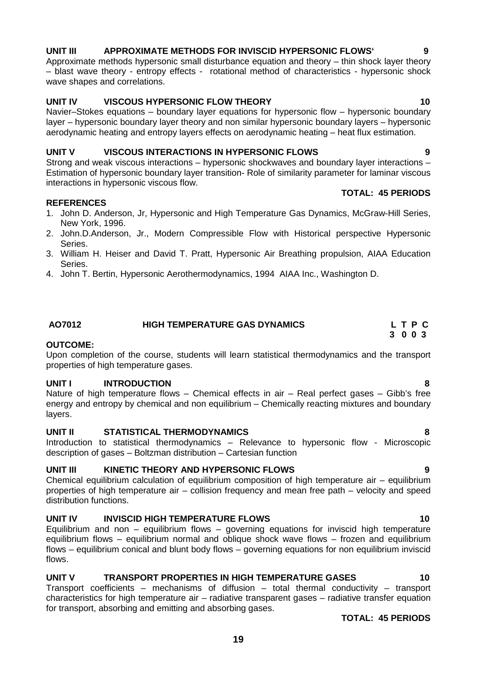### **UNIT III APPROXIMATE METHODS FOR INVISCID HYPERSONIC FLOWS` 9**

Approximate methods hypersonic small disturbance equation and theory – thin shock layer theory – blast wave theory - entropy effects - rotational method of characteristics - hypersonic shock wave shapes and correlations.

#### **UNIT IV VISCOUS HYPERSONIC FLOW THEORY 10**

Navier–Stokes equations – boundary layer equations for hypersonic flow – hypersonic boundary layer – hypersonic boundary layer theory and non similar hypersonic boundary layers – hypersonic aerodynamic heating and entropy layers effects on aerodynamic heating – heat flux estimation.

#### **UNIT V VISCOUS INTERACTIONS IN HYPERSONIC FLOWS 9**

Strong and weak viscous interactions – hypersonic shockwaves and boundary layer interactions – Estimation of hypersonic boundary layer transition- Role of similarity parameter for laminar viscous interactions in hypersonic viscous flow.

#### **REFERENCES**

- 1. John D. Anderson, Jr, Hypersonic and High Temperature Gas Dynamics, McGraw-Hill Series, New York, 1996.
- 2. John.D.Anderson, Jr., Modern Compressible Flow with Historical perspective Hypersonic Series.
- 3. William H. Heiser and David T. Pratt, Hypersonic Air Breathing propulsion, AIAA Education Series.
- 4. John T. Bertin, Hypersonic Aerothermodynamics, 1994 AIAA Inc., Washington D.

## **AO7012 HIGH TEMPERATURE GAS DYNAMICS L T P C**

#### **OUTCOME:**

Upon completion of the course, students will learn statistical thermodynamics and the transport properties of high temperature gases.

#### **UNIT I INTRODUCTION 8**

Nature of high temperature flows – Chemical effects in air – Real perfect gases – Gibb's free energy and entropy by chemical and non equilibrium – Chemically reacting mixtures and boundary layers.

### **UNIT II STATISTICAL THERMODYNAMICS 8**

Introduction to statistical thermodynamics – Relevance to hypersonic flow - Microscopic description of gases – Boltzman distribution – Cartesian function

#### **UNIT III KINETIC THEORY AND HYPERSONIC FLOWS 9**

Chemical equilibrium calculation of equilibrium composition of high temperature air – equilibrium properties of high temperature air – collision frequency and mean free path – velocity and speed distribution functions.

### **UNIT IV INVISCID HIGH TEMPERATURE FLOWS 10**

Equilibrium and non – equilibrium flows – governing equations for inviscid high temperature equilibrium flows – equilibrium normal and oblique shock wave flows – frozen and equilibrium flows – equilibrium conical and blunt body flows – governing equations for non equilibrium inviscid flows.

### **UNIT V TRANSPORT PROPERTIES IN HIGH TEMPERATURE GASES 10**

Transport coefficients – mechanisms of diffusion – total thermal conductivity – transport characteristics for high temperature air – radiative transparent gases – radiative transfer equation for transport, absorbing and emitting and absorbing gases.

**TOTAL: 45 PERIODS**

**TOTAL: 45 PERIODS**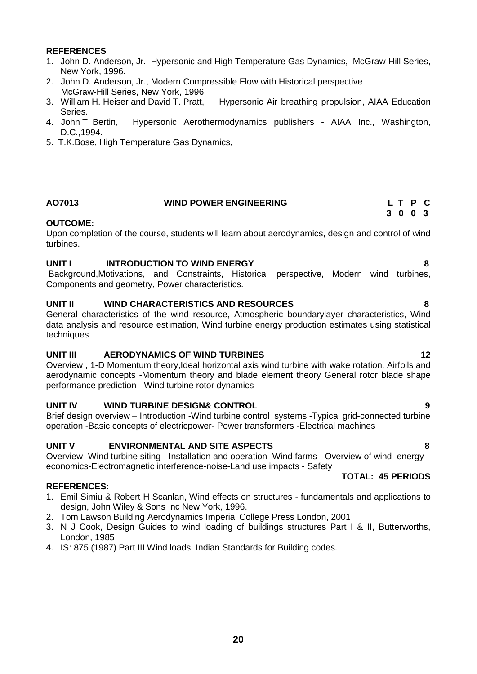#### **REFERENCES**

- 1. John D. Anderson, Jr., Hypersonic and High Temperature Gas Dynamics, McGraw-Hill Series, New York, 1996.
- 2. John D. Anderson, Jr., Modern Compressible Flow with Historical perspective McGraw-Hill Series, New York, 1996.<br>3. William H. Heiser and David T. Pratt.
- Hypersonic Air breathing propulsion, AIAA Education Series.
- 4. John T. Bertin, Hypersonic Aerothermodynamics publishers AIAA Inc., Washington, D.C.,1994.
- 5. T.K.Bose, High Temperature Gas Dynamics,

### **AO7013 WIND POWER ENGINEERING L T P C**

# **3 0 0 3**

#### **OUTCOME:**

Upon completion of the course, students will learn about aerodynamics, design and control of wind turbines.

#### **UNIT I INTRODUCTION TO WIND ENERGY 8**

Background,Motivations, and Constraints, Historical perspective, Modern wind turbines, Components and geometry, Power characteristics.

#### **UNIT II WIND CHARACTERISTICS AND RESOURCES 8**

General characteristics of the wind resource, Atmospheric boundarylayer characteristics, Wind data analysis and resource estimation, Wind turbine energy production estimates using statistical techniques

#### **UNIT III AERODYNAMICS OF WIND TURBINES 12**

Overview , 1-D Momentum theory,Ideal horizontal axis wind turbine with wake rotation, Airfoils and aerodynamic concepts -Momentum theory and blade element theory General rotor blade shape performance prediction - Wind turbine rotor dynamics

### **UNIT IV WIND TURBINE DESIGN& CONTROL 9**

Brief design overview – Introduction -Wind turbine control systems -Typical grid-connected turbine operation -Basic concepts of electricpower- Power transformers -Electrical machines

### **UNIT V ENVIRONMENTAL AND SITE ASPECTS 8**

Overview- Wind turbine siting - Installation and operation- Wind farms- Overview of wind energy economics-Electromagnetic interference-noise-Land use impacts - Safety

#### **REFERENCES:**

- 1. Emil Simiu & Robert H Scanlan, Wind effects on structures fundamentals and applications to design, John Wiley & Sons Inc New York, 1996.
- 2. Tom Lawson Building Aerodynamics Imperial College Press London, 2001
- 3. N J Cook, Design Guides to wind loading of buildings structures Part I & II, Butterworths, London, 1985
- 4. IS: 875 (1987) Part III Wind loads, Indian Standards for Building codes.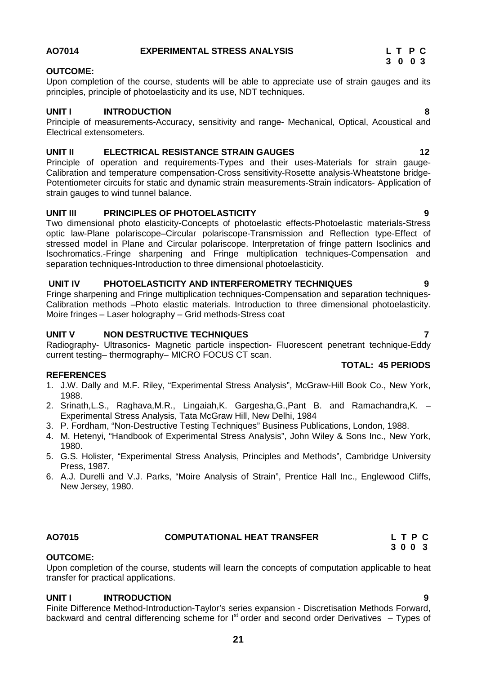### **AO7014 EXPERIMENTAL STRESS ANALYSIS L T P C**

### **OUTCOME:**

Upon completion of the course, students will be able to appreciate use of strain gauges and its principles, principle of photoelasticity and its use, NDT techniques.

#### **UNIT I INTRODUCTION 8**

Principle of measurements-Accuracy, sensitivity and range- Mechanical, Optical, Acoustical and Electrical extensometers.

#### **UNIT II ELECTRICAL RESISTANCE STRAIN GAUGES 12**

Principle of operation and requirements-Types and their uses-Materials for strain gauge- Calibration and temperature compensation-Cross sensitivity-Rosette analysis-Wheatstone bridge- Potentiometer circuits for static and dynamic strain measurements-Strain indicators- Application of strain gauges to wind tunnel balance.

#### **UNIT III PRINCIPLES OF PHOTOELASTICITY 9**

Two dimensional photo elasticity-Concepts of photoelastic effects-Photoelastic materials-Stress optic law-Plane polariscope–Circular polariscope-Transmission and Reflection type-Effect of stressed model in Plane and Circular polariscope. Interpretation of fringe pattern Isoclinics and Isochromatics.-Fringe sharpening and Fringe multiplication techniques-Compensation and separation techniques-Introduction to three dimensional photoelasticity.

#### **UNIT IV PHOTOELASTICITY AND INTERFEROMETRY TECHNIQUES 9**

Fringe sharpening and Fringe multiplication techniques-Compensation and separation techniques- Calibration methods –Photo elastic materials. Introduction to three dimensional photoelasticity. Moire fringes – Laser holography – Grid methods-Stress coat

#### **UNIT V NON DESTRUCTIVE TECHNIQUES 7**

Radiography- Ultrasonics- Magnetic particle inspection- Fluorescent penetrant technique-Eddy current testing– thermography– MICRO FOCUS CT scan.

#### **REFERENCES**

- 1. J.W. Dally and M.F. Riley, "Experimental Stress Analysis", McGraw-Hill Book Co., New York, 1988.
- 2. Srinath,L.S., Raghava,M.R., Lingaiah,K. Gargesha,G.,Pant B. and Ramachandra,K. Experimental Stress Analysis, Tata McGraw Hill, New Delhi, 1984
- 3. P. Fordham, "Non-Destructive Testing Techniques" Business Publications, London, 1988.
- 4. M. Hetenyi, "Handbook of Experimental Stress Analysis", John Wiley & Sons Inc., New York, 1980.
- 5. G.S. Holister, "Experimental Stress Analysis, Principles and Methods", Cambridge University Press, 1987.
- 6. A.J. Durelli and V.J. Parks, "Moire Analysis of Strain", Prentice Hall Inc., Englewood Cliffs, New Jersey, 1980.

### **AO7015 COMPUTATIONAL HEAT TRANSFER L T P C**

## **OUTCOME:**

Upon completion of the course, students will learn the concepts of computation applicable to heat transfer for practical applications.

### **UNIT I INTRODUCTION 9**

Finite Difference Method-Introduction-Taylor's series expansion - Discretisation Methods Forward, backward and central differencing scheme for  $I<sup>st</sup>$  order and second order Derivatives – Types of

## **TOTAL: 45 PERIODS**

**3 0 0 3**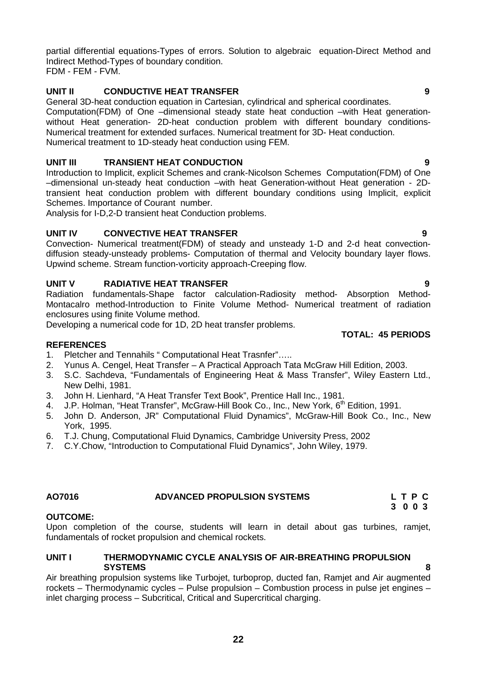partial differential equations-Types of errors. Solution to algebraic equation-Direct Method and Indirect Method-Types of boundary condition. FDM - FEM - FVM.

## **UNIT II CONDUCTIVE HEAT TRANSFER 9**

General 3D-heat conduction equation in Cartesian, cylindrical and spherical coordinates. Computation(FDM) of One –dimensional steady state heat conduction –with Heat generation without Heat generation- 2D-heat conduction problem with different boundary conditions- Numerical treatment for extended surfaces. Numerical treatment for 3D- Heat conduction. Numerical treatment to 1D-steady heat conduction using FEM.

### **UNIT III TRANSIENT HEAT CONDUCTION 9**

Introduction to Implicit, explicit Schemes and crank-Nicolson Schemes Computation(FDM) of One –dimensional un-steady heat conduction –with heat Generation-without Heat generation - 2Dtransient heat conduction problem with different boundary conditions using Implicit, explicit Schemes. Importance of Courant number.

Analysis for I-D,2-D transient heat Conduction problems.

### **UNIT IV CONVECTIVE HEAT TRANSFER 9**

Convection- Numerical treatment(FDM) of steady and unsteady 1-D and 2-d heat convection diffusion steady-unsteady problems- Computation of thermal and Velocity boundary layer flows. Upwind scheme. Stream function-vorticity approach-Creeping flow.

#### **UNIT V RADIATIVE HEAT TRANSFER 9**

Radiation fundamentals-Shape factor calculation-Radiosity method- Absorption Method- Montacalro method-Introduction to Finite Volume Method- Numerical treatment of radiation enclosures using finite Volume method.

Developing a numerical code for 1D, 2D heat transfer problems.

### **REFERENCES**

- 1. Pletcher and Tennahils " Computational Heat Trasnfer"…..
- 2. Yunus A. Cengel, Heat Transfer A Practical Approach Tata McGraw Hill Edition, 2003.
- 3. S.C. Sachdeva, "Fundamentals of Engineering Heat & Mass Transfer", Wiley Eastern Ltd., New Delhi, 1981.
- 3. John H. Lienhard, "A Heat Transfer Text Book", Prentice Hall Inc., 1981.
- 4. J.P. Holman, "Heat Transfer", McGraw-Hill Book Co., Inc., New York, 6<sup>th</sup> Edition, 1991.
- 5. John D. Anderson, JR" Computational Fluid Dynamics", McGraw-Hill Book Co., Inc., New York, 1995.
- 6. T.J. Chung, Computational Fluid Dynamics, Cambridge University Press, 2002
- 7. C.Y.Chow, "Introduction to Computational Fluid Dynamics", John Wiley, 1979.

# **AO7016 ADVANCED PROPULSION SYSTEMS L T P C**

#### **OUTCOME:**

Upon completion of the course, students will learn in detail about gas turbines, ramjet, fundamentals of rocket propulsion and chemical rockets.

#### **UNIT I THERMODYNAMIC CYCLE ANALYSIS OF AIR-BREATHING PROPULSION SYSTEMS 8**

Air breathing propulsion systems like Turbojet, turboprop, ducted fan, Ramjet and Air augmented rockets – Thermodynamic cycles – Pulse propulsion – Combustion process in pulse jet engines – inlet charging process – Subcritical, Critical and Supercritical charging.

**TOTAL: 45 PERIODS**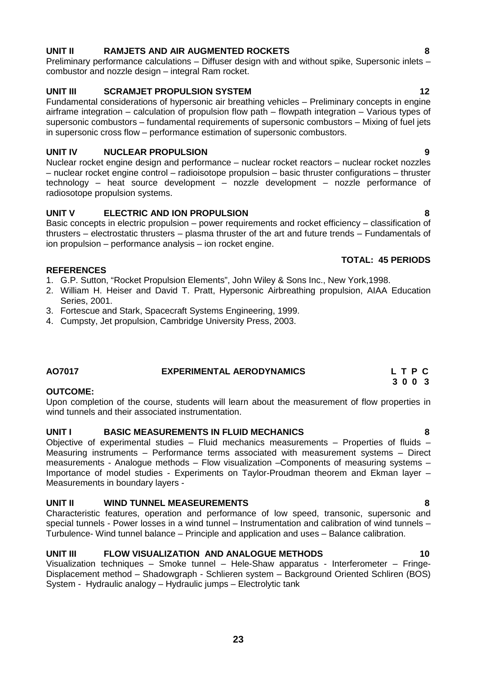# **UNIT II RAMJETS AND AIR AUGMENTED ROCKETS 8**

Preliminary performance calculations – Diffuser design with and without spike, Supersonic inlets – combustor and nozzle design – integral Ram rocket.

# **UNIT III SCRAMJET PROPULSION SYSTEM 12**

Fundamental considerations of hypersonic air breathing vehicles – Preliminary concepts in engine airframe integration – calculation of propulsion flow path – flowpath integration – Various types of supersonic combustors – fundamental requirements of supersonic combustors – Mixing of fuel jets in supersonic cross flow – performance estimation of supersonic combustors.

# **UNIT IV NUCLEAR PROPULSION 9**

Nuclear rocket engine design and performance – nuclear rocket reactors – nuclear rocket nozzles – nuclear rocket engine control – radioisotope propulsion – basic thruster configurations – thruster technology – heat source development – nozzle development – nozzle performance of radiosotope propulsion systems.

# **UNIT V ELECTRIC AND ION PROPULSION 8**

Basic concepts in electric propulsion – power requirements and rocket efficiency – classification of thrusters – electrostatic thrusters – plasma thruster of the art and future trends – Fundamentals of ion propulsion – performance analysis – ion rocket engine.

# **TOTAL: 45 PERIODS**

### **REFERENCES**

- 1. G.P. Sutton, "Rocket Propulsion Elements", John Wiley & Sons Inc., New York,1998.
- 2. William H. Heiser and David T. Pratt, Hypersonic Airbreathing propulsion, AIAA Education Series, 2001.
- 3. Fortescue and Stark, Spacecraft Systems Engineering, 1999.
- 4. Cumpsty, Jet propulsion, Cambridge University Press, 2003.

## **AO7017 EXPERIMENTAL AERODYNAMICS L T P C 3 0 0 3**

# **OUTCOME:**

Upon completion of the course, students will learn about the measurement of flow properties in wind tunnels and their associated instrumentation.

# **UNIT I BASIC MEASUREMENTS IN FLUID MECHANICS 8**

Objective of experimental studies – Fluid mechanics measurements – Properties of fluids – Measuring instruments – Performance terms associated with measurement systems – Direct measurements - Analogue methods – Flow visualization –Components of measuring systems – Importance of model studies - Experiments on Taylor-Proudman theorem and Ekman layer – Measurements in boundary layers -

# **UNIT II WIND TUNNEL MEASEUREMENTS 8**

Characteristic features, operation and performance of low speed, transonic, supersonic and special tunnels - Power losses in a wind tunnel – Instrumentation and calibration of wind tunnels – Turbulence- Wind tunnel balance – Principle and application and uses – Balance calibration.

# **UNIT III FLOW VISUALIZATION AND ANALOGUE METHODS 10**

Visualization techniques – Smoke tunnel – Hele-Shaw apparatus - Interferometer – Fringe- Displacement method – Shadowgraph - Schlieren system – Background Oriented Schliren (BOS) System - Hydraulic analogy – Hydraulic jumps – Electrolytic tank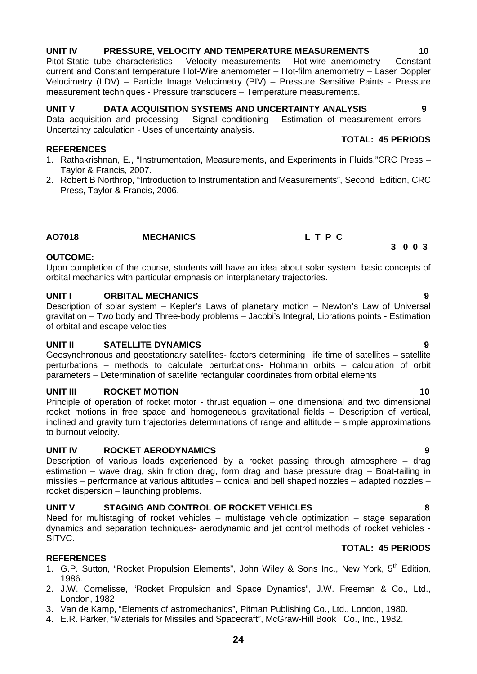#### **UNIT IV PRESSURE, VELOCITY AND TEMPERATURE MEASUREMENTS 10** Pitot-Static tube characteristics - Velocity measurements - Hot-wire anemometry – Constant

measurement techniques - Pressure transducers – Temperature measurements.

# **UNIT V DATA ACQUISITION SYSTEMS AND UNCERTAINTY ANALYSIS 9**

Data acquisition and processing  $-$  Signal conditioning - Estimation of measurement errors  $-$ Uncertainty calculation - Uses of uncertainty analysis. **TOTAL: 45 PERIODS**

current and Constant temperature Hot-Wire anemometer – Hot-film anemometry – Laser Doppler Velocimetry (LDV) – Particle Image Velocimetry (PIV) – Pressure Sensitive Paints - Pressure

#### **REFERENCES**

- 1. Rathakrishnan, E., "Instrumentation, Measurements, and Experiments in Fluids,"CRC Press Taylor & Francis, 2007.
- 2. Robert B Northrop, "Introduction to Instrumentation and Measurements", Second Edition, CRC Press, Taylor & Francis, 2006.

#### **AO7018 MECHANICS L T P C**

#### **OUTCOME:**

Upon completion of the course, students will have an idea about solar system, basic concepts of orbital mechanics with particular emphasis on interplanetary trajectories.

#### **UNIT I ORBITAL MECHANICS 9**

Description of solar system – Kepler's Laws of planetary motion – Newton's Law of Universal gravitation – Two body and Three-body problems – Jacobi's Integral, Librations points - Estimation of orbital and escape velocities

#### **UNIT II SATELLITE DYNAMICS 9**

Geosynchronous and geostationary satellites- factors determining life time of satellites – satellite perturbations – methods to calculate perturbations- Hohmann orbits – calculation of orbit parameters – Determination of satellite rectangular coordinates from orbital elements

#### **UNIT III ROCKET MOTION 10**

Principle of operation of rocket motor - thrust equation – one dimensional and two dimensional rocket motions in free space and homogeneous gravitational fields – Description of vertical, inclined and gravity turn trajectories determinations of range and altitude – simple approximations to burnout velocity.

#### **UNIT IV ROCKET AERODYNAMICS 9**

Description of various loads experienced by a rocket passing through atmosphere – drag estimation – wave drag, skin friction drag, form drag and base pressure drag – Boat-tailing in missiles – performance at various altitudes – conical and bell shaped nozzles – adapted nozzles – rocket dispersion – launching problems.

#### **UNIT V STAGING AND CONTROL OF ROCKET VEHICLES 8**

Need for multistaging of rocket vehicles – multistage vehicle optimization – stage separation dynamics and separation techniques- aerodynamic and jet control methods of rocket vehicles - SITVC.

#### **REFERENCES**

- 1. G.P. Sutton, "Rocket Propulsion Elements", John Wiley & Sons Inc., New York, 5<sup>th</sup> Edition, 1986.
- 2. J.W. Cornelisse, "Rocket Propulsion and Space Dynamics", J.W. Freeman & Co., Ltd., London, 1982
- 3. Van de Kamp, "Elements of astromechanics", Pitman Publishing Co., Ltd., London, 1980.
- 4. E.R. Parker, "Materials for Missiles and Spacecraft", McGraw-Hill Book Co., Inc., 1982.

# **3 0 0 3**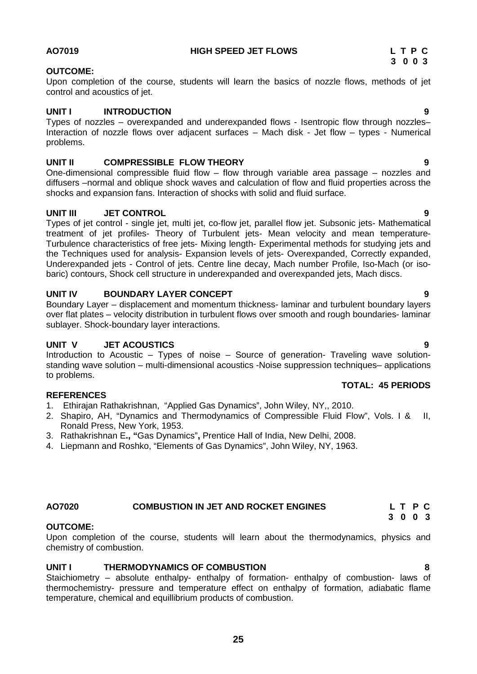#### **AO7019 HIGH SPEED JET FLOWS L T P C**

#### **OUTCOME:**

Upon completion of the course, students will learn the basics of nozzle flows, methods of jet control and acoustics of jet.

#### **UNIT I INTRODUCTION 9**

Types of nozzles – overexpanded and underexpanded flows - Isentropic flow through nozzles– Interaction of nozzle flows over adjacent surfaces – Mach disk - Jet flow – types - Numerical problems.

#### **UNIT II COMPRESSIBLE FLOW THEORY 9**

One-dimensional compressible fluid flow – flow through variable area passage – nozzles and diffusers –normal and oblique shock waves and calculation of flow and fluid properties across the shocks and expansion fans. Interaction of shocks with solid and fluid surface.

#### **UNIT III JET CONTROL 9**

Types of jet control - single jet, multi jet, co-flow jet, parallel flow jet. Subsonic jets- Mathematical treatment of jet profiles- Theory of Turbulent jets- Mean velocity and mean temperature- Turbulence characteristics of free jets- Mixing length- Experimental methods for studying jets and the Techniques used for analysis- Expansion levels of jets- Overexpanded, Correctly expanded, Underexpanded jets - Control of jets. Centre line decay, Mach number Profile, Iso-Mach (or iso baric) contours, Shock cell structure in underexpanded and overexpanded jets, Mach discs.

#### **UNIT IV BOUNDARY LAYER CONCEPT 9**

Boundary Layer – displacement and momentum thickness- laminar and turbulent boundary layers over flat plates – velocity distribution in turbulent flows over smooth and rough boundaries- laminar sublayer. Shock-boundary layer interactions.

#### **UNIT V JET ACOUSTICS 9**

Introduction to Acoustic – Types of noise – Source of generation- Traveling wave solution standing wave solution – multi-dimensional acoustics -Noise suppression techniques– applications to problems.

#### **REFERENCES**

- 1. Ethirajan Rathakrishnan, "Applied Gas Dynamics", John Wiley, NY,, 2010.
- 2. Shapiro, AH, "Dynamics and Thermodynamics of Compressible Fluid Flow", Vols. I & II, Ronald Press, New York, 1953.
- 3. Rathakrishnan E**., "**Gas Dynamics"**,** Prentice Hall of India, New Delhi, 2008.
- 4. Liepmann and Roshko, "Elements of Gas Dynamics", John Wiley, NY, 1963.

# **AO7020 COMBUSTION IN JET AND ROCKET ENGINES L T P C**

#### **OUTCOME:**

Upon completion of the course, students will learn about the thermodynamics, physics and chemistry of combustion.

#### **UNIT I THERMODYNAMICS OF COMBUSTION 8**

Staichiometry – absolute enthalpy- enthalpy of formation- enthalpy of combustion- laws of thermochemistry- pressure and temperature effect on enthalpy of formation, adiabatic flame temperature, chemical and equillibrium products of combustion.

### **TOTAL: 45 PERIODS**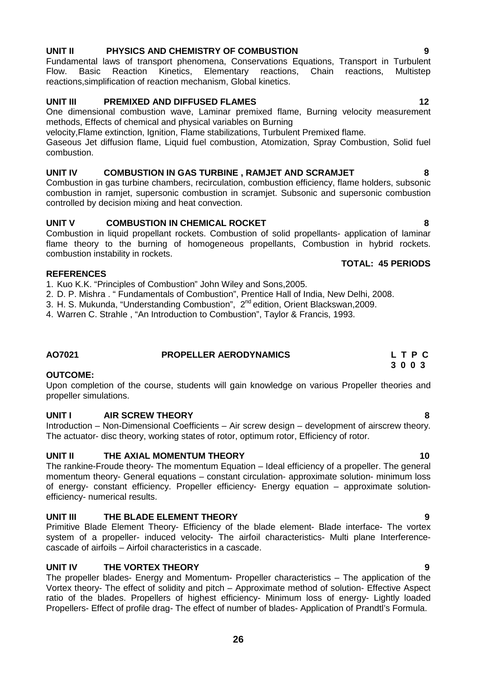#### **UNIT II PHYSICS AND CHEMISTRY OF COMBUSTION 9**

Fundamental laws of transport phenomena, Conservations Equations, Transport in Turbulent Flow. Basic Reaction Kinetics, Elementary reactions, Chain reactions, Multistep reactions,simplification of reaction mechanism, Global kinetics.

#### **UNIT III PREMIXED AND DIFFUSED FLAMES 12**

One dimensional combustion wave, Laminar premixed flame, Burning velocity measurement methods, Effects of chemical and physical variables on Burning

velocity,Flame extinction, Ignition, Flame stabilizations, Turbulent Premixed flame.

Gaseous Jet diffusion flame, Liquid fuel combustion, Atomization, Spray Combustion, Solid fuel combustion.

#### **UNIT IV COMBUSTION IN GAS TURBINE , RAMJET AND SCRAMJET 8**

Combustion in gas turbine chambers, recirculation, combustion efficiency, flame holders, subsonic combustion in ramjet, supersonic combustion in scramjet. Subsonic and supersonic combustion controlled by decision mixing and heat convection.

#### **UNIT V COMBUSTION IN CHEMICAL ROCKET 8**

Combustion in liquid propellant rockets. Combustion of solid propellants- application of laminar flame theory to the burning of homogeneous propellants, Combustion in hybrid rockets. combustion instability in rockets.

#### **REFERENCES**

1. Kuo K.K. "Principles of Combustion" John Wiley and Sons,2005.

2. D. P. Mishra . " Fundamentals of Combustion", Prentice Hall of India, New Delhi, 2008.

3. H. S. Mukunda, "Understanding Combustion", 2<sup>nd</sup> edition, Orient Blackswan, 2009.

4. Warren C. Strahle , "An Introduction to Combustion", Taylor & Francis, 1993.

### **AO7021 PROPELLER AERODYNAMICS L T P C**

#### **OUTCOME:**

Upon completion of the course, students will gain knowledge on various Propeller theories and propeller simulations.

#### **UNIT I AIR SCREW THEORY 8**

Introduction – Non-Dimensional Coefficients – Air screw design – development of airscrew theory. The actuator- disc theory, working states of rotor, optimum rotor, Efficiency of rotor.

### **UNIT II THE AXIAL MOMENTUM THEORY 10**

The rankine-Froude theory- The momentum Equation – Ideal efficiency of a propeller. The general momentum theory- General equations – constant circulation- approximate solution- minimum loss of energy- constant efficiency. Propeller efficiency- Energy equation – approximate solution efficiency- numerical results.

#### **UNIT III THE BLADE ELEMENT THEORY 9**

Primitive Blade Element Theory- Efficiency of the blade element- Blade interface- The vortex system of a propeller- induced velocity- The airfoil characteristics- Multi plane Interference cascade of airfoils – Airfoil characteristics in a cascade.

### **UNIT IV THE VORTEX THEORY 9**

The propeller blades- Energy and Momentum- Propeller characteristics – The application of the Vortex theory- The effect of solidity and pitch – Approximate method of solution- Effective Aspect ratio of the blades. Propellers of highest efficiency- Minimum loss of energy- Lightly loaded Propellers- Effect of profile drag- The effect of number of blades- Application of Prandtl's Formula.

# **3 0 0 3**